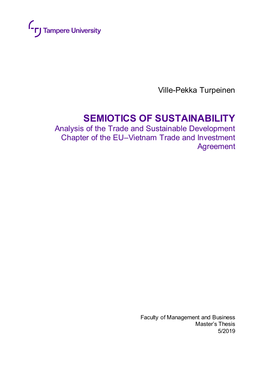

Ville-Pekka Turpeinen

# **SEMIOTICS OF SUSTAINABILITY**

Analysis of the Trade and Sustainable Development Chapter of the EU–Vietnam Trade and Investment Agreement

> Faculty of Management and Business Master's Thesis 5/2019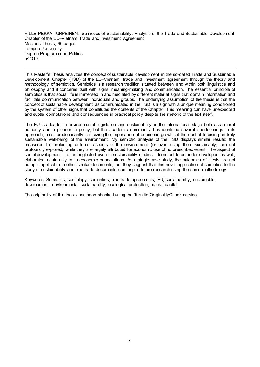VILLE-PEKKA TURPEINEN: Semiotics of Sustainability. Analysis of the Trade and Sustainable Development Chapter of the EU–Vietnam Trade and Investment Agreement Master's Thesis, 90 pages. Tampere University Degree Programme in Politics 5/2019

This Master's Thesis analyzes the concept of sustainable development in the so-called Trade and Sustainable Development Chapter (TSD) of the EU–Vietnam Trade and Investment agreement through the theory and methodology of semiotics. Semiotics is a research tradition situated between and within both linguistics and philosophy and it concerns itself with signs, meaning-making and communication. The essential principle of semiotics is that social life is immersed in and mediated by different material signs that contain information and facilitate communication between individuals and groups. The underlying assumption of the thesis is that the concept of sustainable development as communicated in the TSD is a sign with a unique meaning conditioned by the system of other signs that constitutes the contents of the Chapter. This meaning can have unexpected and subtle connotations and consequences in practical policy despite the rhetoric of the text itself.

The EU is a leader in environmental legislation and sustainability in the international stage both as a moral authority and a pioneer in policy, but the academic community has identified several shortcomings in its approach, most predominantly criticizing the importance of economic growth at the cost of focusing on truly sustainable well-being of the environment. My semiotic analysis of the TSD displays similar results: the measures for protecting different aspects of the environment (or even using them sustainably) are not profoundly explored, while they are largely attributed for economic use of no prescribed extent. The aspect of social development – often neglected even in sustainability studies – turns out to be under-developed as well, elaborated again only in its economic connotations. As a single-case study, the outcomes of thesis are not outright applicable to other similar documents, but they suggest that this novel application of semiotics to the study of sustainability and free trade documents can inspire future research using the same methodology.

Keywords: Semiotics, semiology, semantics, free trade agreements, EU, sustainability, sustainable development, environmental sustainability, ecological protection, natural capital

The originality of this thesis has been checked using the Turnitin OriginalityCheck service.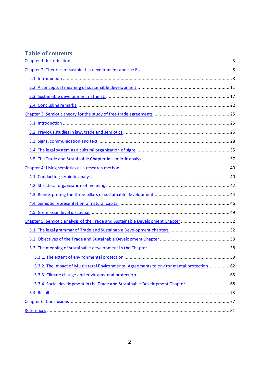# **Table of contents**

| Chapter 5: Semiotic analysis of the Trade and Sustainable Development Chapter  52         |  |
|-------------------------------------------------------------------------------------------|--|
|                                                                                           |  |
|                                                                                           |  |
|                                                                                           |  |
|                                                                                           |  |
| 5.3.2. The impact of Multilateral Environmental Agreements to environmental protection 62 |  |
|                                                                                           |  |
| 5.3.4. Social development in the Trade and Sustainable Development Chapter  68            |  |
|                                                                                           |  |
|                                                                                           |  |
|                                                                                           |  |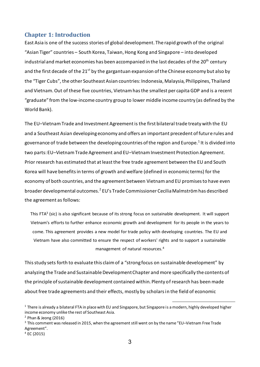## <span id="page-3-0"></span>**Chapter 1: Introduction**

East Asia is one of the success stories of global development. The rapid growth of the original "Asian Tiger" countries – South Korea, Taiwan, Hong Kong and Singapore – into developed industrial and market economies has been accompanied in the last decades of the  $20<sup>th</sup>$  century and the first decade of the  $21^{st}$  by the gargantuan expansion of the Chinese economy but also by the "Tiger Cubs", the other Southeast Asian countries: Indonesia, Malaysia, Philippines, Thailand and Vietnam. Out of these five countries, Vietnam has the smallest per capita GDP and is a recent "graduate" from the low-income country group to lower middle income country (as defined by the World Bank).

The EU–Vietnam Trade and Investment Agreement is the first bilateral trade treaty with the EU and a Southeast Asian developing economy and offers an important precedent of future rules and governance of trade between the developing countries of the region and Europe. $^1$  It is divided into two parts: EU–Vietnam Trade Agreement and EU–Vietnam Investment Protection Agreement. Prior research has estimated that at least the free trade agreement between the EU and South Korea will have benefits in terms of growth and welfare (defined in economic terms) for the economy of both countries, and the agreement between Vietnam and EU promises to have even broader developmental outcomes.<sup>2</sup> EU's Trade Commissioner Cecilia Malmström has described the agreement as follows:

This FTA<sup>3</sup> (sic) is also significant because of its strong focus on sustainable development. It will support Vietnam's efforts to further enhance economic growth and development for its people in the years to come. This agreement provides a new model for trade policy with developing countries. The EU and Vietnam have also committed to ensure the respect of workers' rights and to support a sustainable management of natural resources.<sup>4</sup>

This study sets forth to evaluate this claim of a "strong focus on sustainable development" by analyzing the Trade and Sustainable Development Chapter and more specifically the contents of the principle of sustainable development contained within. Plenty of research has been made about free trade agreements and their effects, mostly by scholars in the field of economic

<sup>&</sup>lt;sup>1</sup> There is already a bilateral FTA in place with EU and Singapore, but Singapore is a modern, highly developed higher income economy unlike the rest of Southeast Asia.

 $2$  Phan & Jeong (2016)

 $3$  This comment was released in 2015, when the agreement still went on by the name "EU–Vietnam Free Trade Agreement".

 $4$  EC (2015)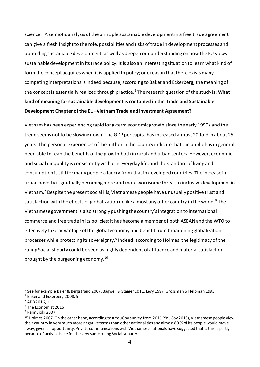science.<sup>5</sup> A semiotic analysis of the principle sustainable development in a free trade agreement can give a fresh insight to the role, possibilities and risks of trade in development processes and upholding sustainable development, as well as deepen our understanding on how the EU views sustainable development in its trade policy. It is also an interesting situation to learn what kind of form the concept acquires when it is applied to policy; one reason that there exists many competing interpretations is indeed because, according to Baker and Eckerberg, the meaning of the concept is essentially realized through practice.<sup>6</sup> The research question of the study is: **What kind of meaning for sustainable development is contained in the Trade and Sustainable Development Chapter of the EU–Vietnam Trade and Investment Agreement?**

Vietnam has been experiencing rapid long-term economic growth since the early 1990s and the trend seems not to be slowing down. The GDP per capita has increased almost 20-fold in about 25 years. The personal experiences of the author in the country indicate that the public has in general been able to reap the benefits of the growth both in rural and urban centers. However, economic and social inequality is consistently visible in everyday life, and the standard of living and consumption is still for many people a far cry from that in developed countries. The increase in urban poverty is gradually becoming more and more worrisome threat to inclusive development in Vietnam.<sup>7</sup> Despite the present social ills, Vietnamese people have unusually positive trust and satisfaction with the effects of globalization unlike almost any other country in the world. $^8$  The Vietnamese government is also strongly pushing the country's integration to international commerce and free trade in its policies: it has become a member of both ASEAN and the WTO to effectively take advantage of the global economy and benefit from broadening globalization processes while protecting its sovereignty.<sup>9</sup> Indeed, according to Holmes, the legitimacy of the ruling Socialist party could be seen as highly dependent of affluence and material satisfaction brought by the burgeoning economy. $^{\rm 10}$ 

<sup>9</sup> Palmujoki 2007

<sup>5</sup> See for example Baier & Bergstrand 2007, Bagwell & Staiger 2011, Levy 1997, Grossman & Helpman 1995 <sup>6</sup> Baker and Eckerberg 2008, 5

<sup>7</sup> ADB 2016, 1

<sup>8</sup> The Economist 2016

<sup>&</sup>lt;sup>10</sup> Holmes 2007. On the other hand, according to a YouGov survey from 2016 (YouGov 2016), Vietnamese people view their country in very much more negative terms than other nationalities and almost 80 % of its people would move away, given an opportunity. Private communications with Vietnamese nationals have suggested that is this is partly because of active dislike for the very same ruling Socialist party.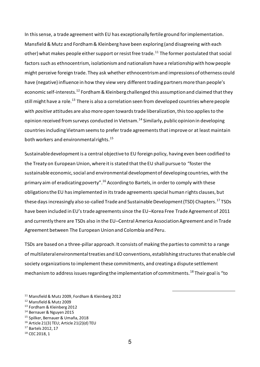In this sense, a trade agreement with EU has exceptionally fertile ground for implementation. Mansfield & Mutz and Fordham & Kleinberg have been exploring (and disagreeing with each other) what makes people either support or resist free trade.<sup>11</sup> The former postulated that social factors such as ethnocentrism, isolationism and nationalism have a relationship with how people might perceive foreign trade. They ask whether ethnocentrism and impressions of otherness could have (negative) influence in how they view very different trading partners more than people's economic self-interests.<sup>12</sup> Fordham & Kleinberg challenged this assumption and claimed that they still might have a role.<sup>13</sup> There is also a correlation seen from developed countries where people with *positive* attitudes are also more open towards trade liberalization, this too applies to the opinion received from surveys conducted in Vietnam.<sup>14</sup> Similarly, public opinion in developing countries including Vietnam seems to prefer trade agreements that improve or at least maintain both workers and environmental rights.<sup>15</sup>

Sustainable development is a central objective to EU foreign policy, having even been codified to the Treaty on European Union, where it is stated that the EU shall pursue to "foster the sustainable economic, social and environmental development of developing countries, with the primary aim of eradicating poverty".<sup>16</sup> According to Bartels, in order to comply with these obligations the EU has implemented in its trade agreements special human rights clauses, but these days increasingly also so-called Trade and Sustainable Development (TSD) Chapters.<sup>17</sup> TSDs have been included in EU's trade agreements since the EU–Korea Free Trade Agreement of 2011 and currently there are TSDs also in the EU–Central America Association Agreement and in Trade Agreement between The European Union and Colombia and Peru.

TSDs are based on a three-pillar approach. It consists of making the parties to commit to a range of multilateral environmental treaties and ILO conventions, establishing structures that enable civil society organizations to implement these commitments, and creating a dispute settlement mechanism to address issues regarding the implementation of commitments.<sup>18</sup> Their goal is "to

- <sup>14</sup> Bernauer & Nguyen 2015
- <sup>15</sup> Spilker, Bernauer & Umaña, 2018
- 16 Article 21(3) TEU; Article 21(2)(d) TEU
- <sup>17</sup> Bartels 2012, 17

<sup>11</sup> Mansfield & Mutz 2009, Fordham & Kleinberg 2012

<sup>12</sup> Mansfield & Mutz 2009

<sup>13</sup> Fordham & Kleinberg 2012

<sup>18</sup> CEC 2018, 1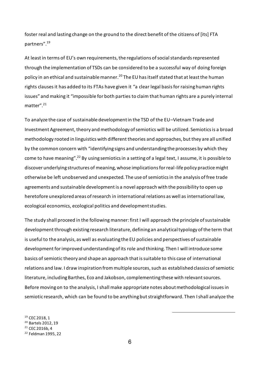foster real and lasting change on the ground to the direct benefit of the citizens of [its] FTA partners". 19

At least in terms of EU's own requirements, the regulations of social standards represented through the implementation of TSDs can be considered to be a successful way of doing foreign policy in an ethical and sustainable manner.<sup>20</sup> The EU has itself stated that at least the human rights clauses it has added to its FTAs have given it "a clear legal basis for raising human rights issues" and making it "impossible for both parties to claim that human rights are a purely internal matter". 21

To analyze the case of sustainable development in the TSD of the EU–Vietnam Trade and Investment Agreement, theory and methodology of semiotics will be utilized. Semiotics is a broad methodology rooted in linguistics with different theories and approaches, but they are all unified by the common concern with "identifying signs and understanding the processes by which they come to have meaning".<sup>22</sup> By using semiotics in a setting of a legal text, I assume, it is possible to discover underlying structures of meaning, whose implications for real-life policy practice might otherwise be left unobserved and unexpected. The use of semiotics in the analysis of free trade agreements and sustainable development is a novel approach with the possibility to open up heretofore unexplored areas of research in international relations as well as international law, ecological economics, ecological politics and development studies.

The study shall proceed in the following manner: first I will approach the principle of sustainable development through existing research literature, defining an analytical typology of the term that is useful to the analysis, as well as evaluating the EU policies and perspectives of sustainable development for improved understanding of its role and thinking. Then I will introduce some basics of semiotic theory and shape an approach that is suitable to this case of international relations and law. I draw inspiration from multiple sources, such as established classics of semiotic literature, including Barthes, Eco and Jakobson, complementing these with relevant sources. Before moving on to the analysis, I shall make appropriate notes about methodological issues in semiotic research, which can be found to be anything but straightforward. Then Ishall analyze the

 CEC 2018, 1 Bartels 2012, 19 CEC 2016b, 4 Feldman 1995, 22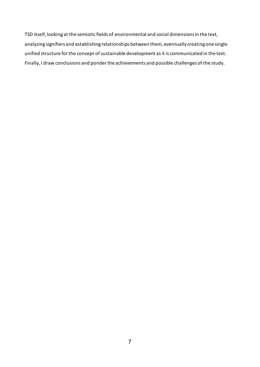TSD itself, looking at the semiotic fields of environmental and social dimensions in the text, analyzing signifiers and establishing relationships between them, eventually creating one single unified structure for the concept of sustainable development as it is communicated in the text. Finally, I draw conclusions and ponder the achievements and possible challenges of the study.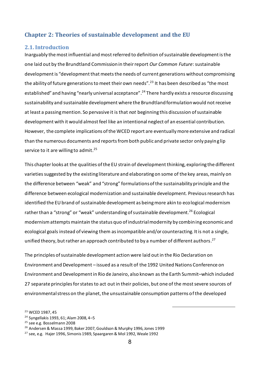## <span id="page-8-0"></span>**Chapter 2: Theories of sustainable development and the EU**

#### <span id="page-8-1"></span>**2.1. Introduction**

Inarguably the most influential and most referred to definition of sustainable development is the one laid out by the Brundtland Commission in their report *Our Common Future*: sustainable development is "development that meets the needs of current generations without compromising the ability of future generations to meet their own needs".<sup>23</sup> It has been described as "the most established" and having "nearly universal acceptance".<sup>24</sup> There hardly exists a resource discussing sustainability and sustainable development where the Brundtland formulation would not receive at least a passing mention. So pervasive it is that *not* beginning this discussion of sustainable development with it would almost feel like an intentional neglect of an essential contribution. However, the complete implications of the WCED report are eventually more extensive and radical than the numerous documents and reports from both public and private sector only paying lip service to it are willing to admit.<sup>25</sup>

This chapter looks at the qualities of the EU strain of development thinking, exploring the different varietiessuggested by the existing literature and elaborating on some of the key areas, mainly on the difference between "weak" and "strong" formulations of the sustainability principle and the difference between ecological modernization and sustainable development. Previous research has identified the EU brand of sustainable development as being more akin to ecological modernism rather than a "strong" or "weak" understanding of sustainable development.<sup>26</sup> Ecological modernism attempts maintain the status quo of industrial modernity by combining economic and ecological goals instead of viewing them as incompatible and/or counteracting. It is not a single, unified theory, but rather an approach contributed to by a number of different authors. $^{27}$ 

The principles of sustainable development action were laid out in the Rio Declaration on Environment and Development – issued as a result of the 1992 United Nations Conference on Environment and Development in Rio de Janeiro, also known as the Earth Summit–which included 27 separate principles for states to act out in their policies, but one of the most severe sources of environmental stress on the planet, the unsustainable consumption patterns of the developed

<sup>23</sup> WCED 1987, 45

<sup>24</sup> Syngellakis 1993, 61; Alam 2008, 4–5

<sup>&</sup>lt;sup>25</sup> see e.g. Bosselmann 2008

<sup>26</sup> Andersen & Massa 1999, Baker 2007, Gouldson & Murphy 1996, Jones 1999

<sup>27</sup> see, e.g. Hajer 1996, Simonis 1989, Spaargaren & Mol 1992, Weale 1992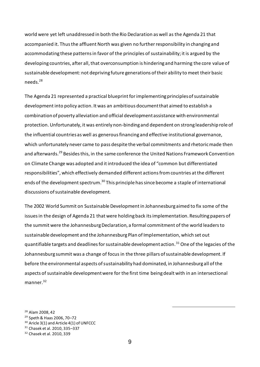world were yet left unaddressed in both the Rio Declaration as well as the Agenda 21 that accompanied it. Thus the affluent North was given no further responsibility in changing and accommodating these patterns in favor of the principles of sustainability; it is argued by the developing countries, after all, that overconsumption is hindering and harming the core value of sustainable development: not depriving future generations of their ability to meet their basic needs. 28

The Agenda 21 represented a practical blueprint for implementing principles of sustainable development into policy action. It was an ambitious document that aimed to establish a combination of poverty alleviation and official development assistance with environmental protection. Unfortunately, it was entirely non-binding and dependent on strong leadership role of the influential countries as well as generous financing and effective institutional governance, which unfortunately never came to pass despite the verbal commitments and rhetoric made then and afterwards.<sup>29</sup> Besides this, in the same conference the United Nations Framework Convention on Climate Change was adopted and it introduced the idea of "common but differentiated responsibilities", which effectively demanded different actions from countries at the different ends of the development spectrum.<sup>30</sup> This principle has since become a staple of international discussions of sustainable development.

The 2002 World Summit on Sustainable Development in Johannesburg aimed to fix some of the issues in the design of Agenda 21 that were holding back its implementation. Resulting papers of the summit were the Johannesburg Declaration, a formal commitment of the world leaders to sustainable development and the Johannesburg Plan of Implementation, which set out quantifiable targets and deadlines for sustainable development action.<sup>31</sup> One of the legacies of the Johannesburg summit was a change of focus in the three pillars of sustainable development. If before the environmental aspects of sustainability had dominated, in Johannesburg all of the aspects of sustainable development were for the first time being dealt with in an intersectional manner.<sup>32</sup>

<sup>28</sup> Alam 2008, 42 <sup>29</sup> Speth & Haas 2006, 70–72 <sup>30</sup> Aricle 3(1) and Article 4(1) of UNFCCC <sup>31</sup> Chasek et al. 2010, 335–337 <sup>32</sup> Chasek et al. 2010, 339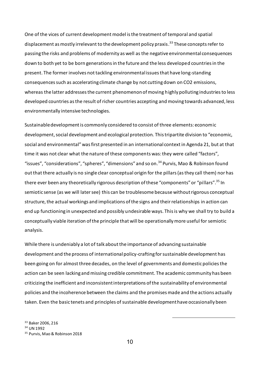One of the vices of current development model is the treatment of temporal and spatial displacement as mostly irrelevant to the development policy praxis. <sup>33</sup> These concepts refer to passing the risks and problems of modernity as well as the negative environmental consequences down to both yet to be born generations in the future and the less developed countries in the present. The former involves not tackling environmental issues that have long-standing consequences such as accelerating climate change by not cutting down on CO2 emissions, whereas the latter addresses the current phenomenon of moving highly polluting industries to less developed countries as the result of richer countries accepting and moving towards advanced, less environmentally intensive technologies.

Sustainable development is commonly considered to consist of three elements: economic development, social development and ecological protection. This tripartite division to "economic, social and environmental" was first presented in an international context in Agenda 21, but at that time it was not clear what the nature of these components was: they were called "factors", "issues", "considerations", "spheres", "dimensions" and so on.<sup>34</sup> Purvis, Mao & Robinson found out that there actually is no single clear conceptual origin for the pillars (as they call them) nor has there ever been any theoretically rigorous description of these "components" or "pillars".<sup>35</sup> In semiotic sense (as we will later see) this can be troublesome because without rigorous conceptual structure, the actual workings and implications of the signs and their relationships in action can end up functioning in unexpected and possibly undesirable ways. This is why we shall try to build a conceptually viable iteration of the principle that will be operationally more useful for semiotic analysis.

While there is undeniably a lot of talk about the importance of advancing sustainable development and the process of international policy-crafting for sustainable development has been going on for almost three decades, on the level of governments and domestic policies the action can be seen lacking and missing credible commitment. The academic community has been criticizing the inefficient and inconsistent interpretations of the sustainability of environmental policies and the incoherence between the claims and the promises made and the actions actually taken. Even the basic tenets and principles of sustainable development have occasionally been

<sup>33</sup> Baker 2006, 216 <sup>34</sup> UN 1992

<sup>35</sup> Purvis, Mao & Robinson 2018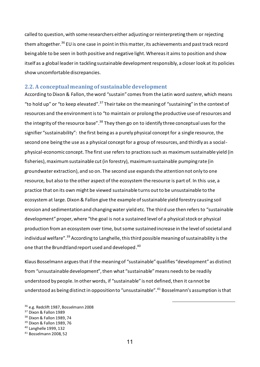called to question, with some researchers either adjusting or reinterpreting them or rejecting them altogether.<sup>36</sup> EU is one case in point in this matter, its achievements and past track record being able to be seen in both positive and negative light. Whereas it aims to position and show itself as a global leader in tackling sustainable development responsibly, a closer look at its policies show uncomfortable discrepancies.

#### <span id="page-11-0"></span>**2.2. A conceptual meaning of sustainable development**

According to Dixon & Fallon, the word "sustain" comes from the Latin word *sustere*, which means "to hold up" or "to keep elevated".<sup>37</sup> Their take on the meaning of "sustaining" in the context of resources and the environment is to "to maintain or prolong the productive use of resources and the integrity of the resource base".<sup>38</sup> They then go on to identify three conceptual uses for the signifier "sustainability": the first being as a purely physical concept for a single resource, the second one being the use as a physical concept for a group of resources, and thirdly as a socialphysical-economic concept. The first use refers to practices such as maximum sustainable yield (in fisheries), maximum sustainable cut (in forestry), maximum sustainable pumping rate (in groundwater extraction), and so on. The second use expands the attention not only to one resource, but also to the other aspect of the ecosystem the resource is part of. In this use, a practice that on its own might be viewed sustainable turns out to be unsustainable to the ecosystem at large. Dixon & Fallon give the example of sustainable yield forestry causing soil erosion and sedimentation and changing water yield etc. The third use then refers to "sustainable development" proper, where "the goal is not a sustained level of a physical stock or physical production from an ecosystem over time, but some sustained increase in the level of societal and individual welfare". <sup>39</sup> According to Langhelle, this third possible meaning of sustainability is the one that the Brundtland report used and developed. 40

Klaus Bosselmann argues that if the meaning of "sustainable" qualifies "development" as distinct from "unsustainable development", then what "sustainable" means needs to be readily understood by people. In other words, if "sustainable" is not defined, then it cannot be understood as being distinct in opposition to "unsustainable".<sup>41</sup> Bosselmann's assumption is that

<sup>36</sup> e.g. Redclift 1987, Bosselmann 2008

<sup>37</sup> Dixon & Fallon 1989

<sup>38</sup> Dixon & Fallon 1989, 74

<sup>39</sup> Dixon & Fallon 1989, 76

<sup>40</sup> Langhelle 1999, 132

<sup>41</sup> Bosselmann 2008, 52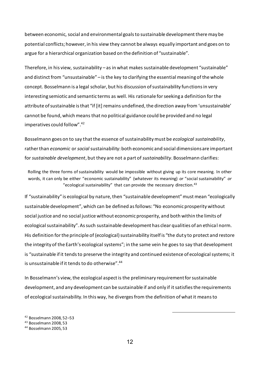between economic, social and environmental goals to sustainable development there may be potential conflicts; however, in his view they cannot be always equally important and goes on to argue for a hierarchical organization based on the definition of "sustainable".

Therefore, in his view, sustainability – as in what makes sustainable development "sustainable" and distinct from "unsustainable" – is the key to clarifying the essential meaning of the whole concept. Bosselmann is a legal scholar, but his discussion of sustainability functions in very interesting semiotic and semantic terms as well. His rationale for seeking a definition for the attribute of sustainable is that "if [it] remains undefined, the direction away from 'unsustainable' cannot be found, which means that no political guidance could be provided and no legal imperatives could follow". 42

Bosselmann goes on to say that the essence of sustainability must be *ecological sustainability*, rather than *economic* or *social* sustainability: both economic and social dimensions are important for *sustainable development*, but they are not a part of *sustainability*. Bosselmann clarifies:

Rolling the three forms of sustainability would be impossible without giving up its core meaning. In other words, it can only be either "economic sustainability" (whatever its meaning) *or* "social sustainability" *or* "ecological sustainability" that can provide the necessary direction. $43$ 

If "sustainability" is ecological by nature, then "sustainable development"must mean "ecologically sustainable development", which can be defined as follows: "No economic prosperity without social justice and no social justice without economic prosperity, and both within the limits of ecological sustainability". As such sustainable development has clear qualities of an ethical norm. His definition for the principle of (ecological) sustainability itself is "the duty to protect and restore the integrity of the Earth's ecological systems"; in the same vein he goes to say that development is "sustainable if it tends to preserve the integrity and continued existence of ecological systems; it is unsustainable if it tends to do otherwise".<sup>44</sup>

In Bosselmann's view, the ecological aspect is the preliminary requirement for sustainable development, and any development can be sustainable if and only if it satisfies the requirements of ecological sustainability. In this way, he diverges from the definition of what it means to

<sup>42</sup> Bosselmann 2008, 52–53

<sup>43</sup> Bosselmann 2008, 53

<sup>44</sup> Bosselmann 2005, 53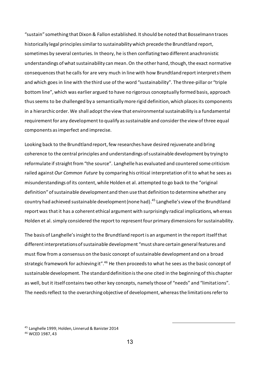"sustain" something that Dixon & Fallon established. It should be noted that Bosselmann traces historically legal principles similar to sustainability which precede the Brundtland report, sometimes by several centuries. In theory, he is then conflating two different anachronistic understandings of what sustainability can mean. On the other hand, though, the exact normative consequences that he calls for are very much in line with how Brundtland report interprets them and which goes in line with the third use of the word "sustainability". The three-pillar or "triple bottom line", which was earlier argued to have no rigorous conceptually formed basis, approach thus seems to be challenged by a semantically more rigid definition, which places its components in a hierarchic order. We shall adopt the view that environmental sustainability is a fundamental requirement for any development to qualify as sustainable and consider the view of three equal components as imperfect and imprecise.

Looking back to the Brundtland report, few researches have desired rejuvenate and bring coherence to the central principles and understandings of sustainable development by trying to reformulate if straight from "the source". Langhelle has evaluated and countered some criticism railed against *Our Common Future* by comparing his critical interpretation of it to what he sees as misunderstandings of its content, while Holden et al. attempted to go back to the "original definition" of sustainable development and then use that definition to determine whether any country had achieved sustainable development (none had). <sup>45</sup> Langhelle's view of the Brundtland report was that it has a coherent ethical argument with surprisingly radical implications, whereas Holden et al. simply considered the report to represent four primary dimensions for sustainability.

The basis of Langhelle's insight to the Brundtland report is an argument in the report itself that different interpretations of sustainable development "must share certain general features and must flow from a consensus on the basic concept of sustainable development and on a broad strategic framework for achieving it".<sup>46</sup> He then proceeds to what he sees as the basic concept of sustainable development. The standard definition is the one cited in the beginning of this chapter as well, but it itself contains two other key concepts, namely those of "needs" and "limitations". The needs reflect to the overarching objective of development, whereas the limitations refer to

<sup>45</sup> Langhelle 1999; Holden, Linnerud & Banister 2014

<sup>46</sup> WCED 1987, 43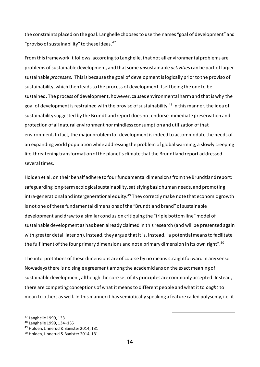the constraints placed on the goal. Langhelle chooses to use the names "goal of development" and "proviso of sustainability" to these ideas. $47$ 

From this framework it follows, according to Langhelle, that not all environmental problems are problems of sustainable development, and that some *un*sustainable *activities* can be part of larger sustainable *processes.* This is because the goal of development is logically prior to the proviso of sustainability, which then leads to the process of development itself being the one to be sustained. The process of development, however, causes environmental harm and that is why the goal of development is restrained with the proviso of sustainability.<sup>48</sup> In this manner, the idea of sustainability suggested by the Brundtland report does not endorse immediate preservation and protection of all natural environment nor mindless consumption and utilization of that environment. In fact, the major problem for development is indeed to accommodate the needs of an expanding world population while addressing the problem of global warming, a slowly creeping life-threatening transformation of the planet's climate that the Brundtland report addressed several times.

Holden et al. on their behalf adhere to four fundamental dimensions from the Brundtland report: safeguarding long-term ecological sustainability, satisfying basic human needs, and promoting intra-generational and intergenerational equity.<sup>49</sup> They correctly make note that economic growth is not one of these fundamental dimensions of the "Brundtland brand" of sustainable development and draw to a similar conclusion critiquing the "triple bottom line" model of sustainable development as has been already claimed in this research (and will be presented again with greater detail later on). Instead, they argue that it is, instead, "a potential means to facilitate the fulfilment of the four primary dimensions and not a primary dimension in its own right".<sup>50</sup>

The interpretations of these dimensions are of course by no means straightforward in any sense. Nowadays there is no single agreement among the academicians on the exact meaning of sustainable development, although the core set of its principles are commonly accepted. Instead, there are competing conceptions of what it means to different people and what it to *ought* to mean to others as well. In this manner it has semiotically speaking a feature called polysemy, i.e. it

<sup>48</sup> Langhelle 1999, 134–135

<sup>47</sup> Langhelle 1999, 133

<sup>49</sup> Holden, Linnerud & Banister 2014, 131

<sup>50</sup> Holden, Linnerud & Banister 2014, 131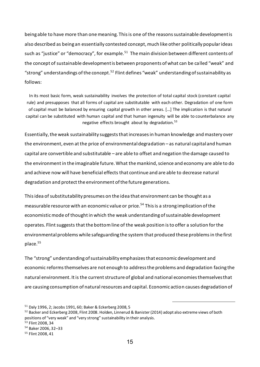being able to have more than one meaning. This is one of the reasons sustainable development is also described as being an essentially contested concept, much like other politically popular ideas such as "justice" or "democracy", for example.<sup>51</sup> The main division between different contents of the concept of sustainable development is between proponents of what can be called "weak" and "strong" understandings of the concept.<sup>52</sup> Flint defines "weak" understanding of sustainability as follows:

In its most basic form, weak sustainability involves the protection of total capital stock (constant capital rule) and presupposes that all forms of capital are substitutable with each other. Degradation of one form of capital must be balanced by ensuring capital growth in other areas. […] The implication is that natural capital can be substituted with human capital and that human ingenuity will be able to counterbalance any negative effects brought about by degradation.<sup>53</sup>

Essentially, the weak sustainability suggests that increases in human knowledge and mastery over the environment, even at the price of environmental degradation – as natural capital and human capital are convertible and substitutable – are able to offset and negation the damage caused to the environment in the imaginable future. What the mankind, science and economy are able to do and achieve now will have beneficial effects that continue and are able to decrease natural degradation and protect the environment of the future generations.

This idea of substitutability presumes on the idea that environment can be thought as a measurable resource with an economic value or price.<sup>54</sup> This is a strong implication of the economistic mode of thought in which the weak understanding of sustainable development operates. Flint suggests that the bottom line of the weak position is to offer a solution for the environmental problems while safeguarding the system that produced these problems in the first place. 55

The "strong" understanding of sustainability emphasizes that economic development and economic reforms themselves are not enough to address the problems and degradation facing the natural environment. It is the current structure of global and national economies themselves that are causing consumption of natural resources and capital. Economic action causes degradation of

<sup>51</sup> Daly 1996, 2; Jacobs 1991, 60; Baker & Eckerberg 2008, 5

<sup>&</sup>lt;sup>52</sup> Backer and Eckerberg 2008, Flint 2008. Holden, Linnerud & Banister (2014) adopt also extreme views of both positions of "very weak" and "very strong" sustainability in their analysis.

<sup>53</sup> Flint 2008, 34

<sup>54</sup> Baker 2006, 32–33

<sup>55</sup> Flint 2008, 41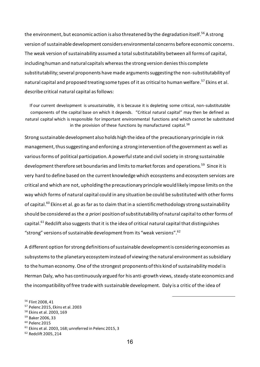the environment, but economic action is also threatened by the degradation itself. <sup>56</sup> A strong version of sustainable development considers environmental concerns before economic concerns. The weak version of sustainability assumed a total substitutability between all forms of capital, including human and natural capitals whereas the strong version denies this complete substitutability; several proponents have made arguments suggesting the non-substitutability of natural capital and proposed treating some types of it as critical to human welfare. <sup>57</sup> Ekins et al. describe critical natural capital as follows:

If our current development is unsustainable, it is because it is depleting some critical, non-substitutable components of the capital base on which it depends. "Critical natural capital" may then be defined as natural capital which is responsible for important environmental functions and which cannot be substituted in the provision of these functions by manufactured capital.<sup>58</sup>

Strong sustainable development also holds high the idea of the precautionary principle in risk management, thus suggesting and enforcing a strong intervention of the government as well as various forms of political participation. A powerful state and civil society in strong sustainable development therefore set boundaries and limits to market forces and operations.<sup>59</sup> Since it is very hard to define based on the current knowledge which ecosystems and ecosystem services are critical and which are not, upholding the precautionary principle would likely impose limits on the way which forms of natural capital could in any situation be could be substituted with other forms of capital.<sup>60</sup> Ekins et al. go as far as to claim that in a scientific methodology strong sustainability should be considered as the *a priori* position of substitutability of natural capital to other forms of capital.<sup>61</sup> Redclift also suggests that it is the idea of critical natural capital that distinguishes "strong" versions of sustainable development from its "weak versions". 62

A different option for strong definitions of sustainable development is considering economies as subsystems to the planetary ecosystem instead of viewing the natural environment as subsidiary to the human economy. One of the strongest proponents of this kind of sustainability model is Herman Daly, who has continuously argued for his anti-growth views, steady-state economics and the incompatibility of free trade with sustainable development. Daly is a critic of the idea of

<sup>56</sup> Flint 2008, 41

<sup>57</sup> Pelenc 2015, Ekins et al. 2003

<sup>58</sup> Ekins et al. 2003, 169

<sup>59</sup> Baker 2006, 33

<sup>60</sup> Pelenc 2015

 $61$  Ekins et al. 2003, 168; unreferred in Pelenc 2015, 3

<sup>62</sup> Redclift 2005, 214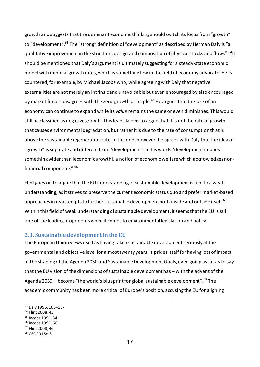growth and suggests that the dominant economic thinking should switch its focus from "growth" to "development".<sup>63</sup> The "strong" definition of "development" as described by Herman Daly is "a qualitative improvement in the structure, design and composition of physical stocks and flows". <sup>64</sup>It should be mentioned that Daly's argument is ultimately suggesting for a steady-state economic model with minimal growth rates, which is something few in the field of economy advocate. He is countered, for example, by Michael Jacobs who, while agreeing with Daly that negative externalities are not merely an intrinsic and unavoidable but even encouraged by also encouraged by market forces, disagrees with the zero-growth principle. <sup>65</sup> He argues that the *size* of an economy can continue to expand while its *value* remains the same or even diminishes. This would still be classified as negative growth. This leads Jacobs to argue that it is not the rate of growth that causes environmental degradation, but rather it is due to the rate of consumption that is above the sustainable regeneration rate. In the end, however, he agrees with Daly that the idea of "growth" is separate and different from "development"; in his words "development implies something wider than [economic growth], a notion of economic welfare which acknowledges nonfinancial components". 66

Flint goes on to argue that the EU understanding of sustainable development is tied to a weak understanding, as it strives to preserve the current economic status quo and prefer market-based approaches in its attempts to further sustainable development both inside and outside itself.  $^{67}$ Within this field of weak understanding of sustainable development, it seems that the EU is still one of the leading proponents when it comes to environmental legislation and policy.

#### <span id="page-17-0"></span>**2.3. Sustainable development in the EU**

The European Union views itself as having taken sustainable development seriously at the governmental and objective level for almost twenty years. It prides itself for having lots of impact in the shaping of the Agenda 2030 and Sustainable Development Goals, even going as far as to say that the EU vision of the dimensions of sustainable development has – with the advent of the Agenda 2030 – become "the world's blueprint for global sustainable development".<sup>68</sup> The academic community has been more critical of Europe's position, accusing the EU for aligning

-

 Daly 1996, 166–167 Flint 2008, 43 Jacobs 1991, 34 Jacobs 1991, 60 Flint 2008, 46 CEC 2016c, 3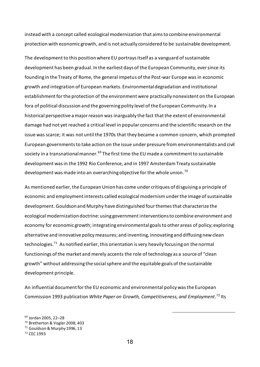instead with a concept called ecological modernization that aims to combine environmental protection with economic growth, and is not actually considered to be sustainable development.

The development to this position where EU portrays itself as a vanguard of sustainable development has been gradual. In the earliest days of the European Community, ever since its founding in the Treaty of Rome, the general impetus of the Post-war Europe was in economic growth and integration of European markets. Environmental degradation and institutional establishment for the protection of the environment were practically nonexistent on the European fora of political discussion and the governing polity level of the European Community. In a historical perspective a major reason was inarguably the fact that the extent of environmental damage had not yet reached a critical level in popular concerns and the scientific research on the issue was scarce; it was not until the 1970s that they became a common concern, which prompted European governments to take action on the issue under pressure from environmentalists and civil society in a transnational manner.<sup>69</sup> The first time the EU made a commitment to sustainable development was in the 1992 Rio Conference, and in 1997 Amsterdam Treaty sustainable development was made into an overarching objective for the whole union.<sup>70</sup>

As mentioned earlier, the European Union has come under critiques of disguising a principle of economic and employment interests called ecological modernism under the image of sustainable development. Gouldson and Murphy have distinguished four themes that characterize the ecological modernization doctrine: using government interventions to combine environment and economy for economic growth; integrating environmental goals to other areas of policy; exploring alternative and innovative policy measures; and inventing, innovating and diffusing new clean technologies.<sup>71</sup> As notified earlier, this orientation is very heavily focusing on the normal functionings of the market and merely accents the role of technology as a source of "clean growth" without addressing the social sphere and the equitable goals of the sustainable development principle.

An influential document for the EU economic and environmental policy was the European Commission 1993 publication *White Paper on Growth, Competitiveness, and Employment.* <sup>72</sup> Its

<sup>69</sup> Jordan 2005, 22–28

<sup>71</sup> Gouldson & Murphy 1996, 13

<sup>70</sup> Bretherton & Vogler 2008, 403

<sup>72</sup> CEC 1993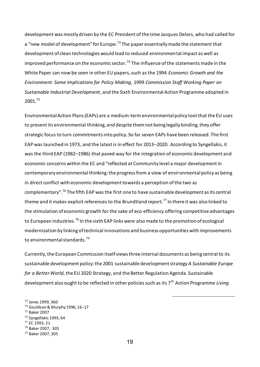development was mostly driven by the EC President of the time Jacques Delors, who had called for a "new model of development" for Europe.<sup>73</sup> The paper essentially made the statement that development of clean technologies would lead to reduced environmental impact as well as improved performance on the economic sector.<sup>74</sup> The influence of the statements made in the White Paper can now be seen in other EU papers, such as the 1994 *Economic Growth and the Environment: Some Implications for Policy Making*, 1999 *Commission Staff Working Paper on Sustainable Industrial Development*, and the Sixth Environmental Action Programme adopted in 2001.<sup>75</sup>

Environmental Action Plans (EAPs) are a medium-term environmental policy tool that the EU uses to present its environmental thinking, and despite them not being legally binding, they offer strategic focus to turn commitments into policy. So far seven EAPs have been released. The first EAP was launched in 1973, and the latest is in effect for 2013–2020. According to Syngellakis, it was the third EAP (1982–1986) that paved way for the integration of economic development and economic concerns within the EC and "reflected at Community level a major development in contemporary environmental thinking: the progress from a view of environmental policy as being in direct conflict with economic development towards a perception of the two as complementary".<sup>76</sup> The fifth EAP was the first one to have sustainable development as its central theme and it makes explicit references to the Brundtland report.<sup>77</sup> In there it was also linked to the stimulation of economic growth for the sake of eco-efficiency offering competitive advantages to European industries.<sup>78</sup> In the sixth EAP links were also made to the promotion of ecological modernization by linking of technical innovations and business opportunities with improvements to environmental standards.<sup>79</sup>

Currently, the European Commission itself views three internal documents as being central to its sustainable development policy: the 2001 sustainable development strategy *A Sustainable Europe for a Better World*, the EU 2020 Strategy, and the Better Regulation Agenda. Sustainable development also ought to be reflected in other policies such as its 7<sup>th</sup> Action Programme *Living* 

<sup>73</sup> Jones 1999, 360

<sup>74</sup> Gouldson & Murphy 1996, 16–17

<sup>75</sup> Baker 2007

<sup>76</sup> Syngellakis 1993, 64

<sup>77</sup> EC 1993, 21

<sup>78</sup> Baker 2007, 305

<sup>79</sup> Baker 2007, 305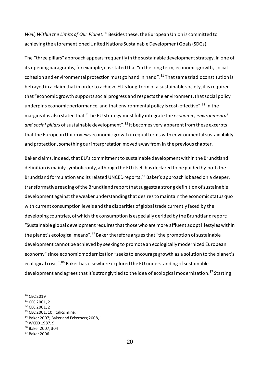Well, Within the Limits of Our Planet.<sup>80</sup> Besides these, the European Union is committed to achieving the aforementioned United Nations Sustainable Development Goals (SDGs).

The "three pillars" approach appears frequently in the sustainable development strategy. In one of its opening paragraphs, for example, it is stated that "in the long term, economic growth, social cohesion and environmental protection must go hand in hand". <sup>81</sup> That same triadic constitution is betrayed in a claim that in order to achieve EU's long-term of a sustainable society, it is required that "economic growth supports social progress and respects the environment, that social policy underpins economic performance, and that environmental policy is cost-effective".<sup>82</sup> In the margins it is also stated that "The EU strategy must fully integrate the *economic, environmental and social pillars* of sustainable development". <sup>83</sup> It becomes very apparent from these excerpts that the European Union views economic growth in equal terms with environmental sustainability and protection, something our interpretation moved away from in the previous chapter.

Baker claims, indeed, that EU's commitment to sustainable development within the Brundtland definition is mainly symbolic only, although the EU itself has declared to be guided by both the Brundtland formulation and its related UNCED reports. <sup>84</sup> Baker's approach is based on a deeper, transformative reading of the Brundtland report that suggests a strong definition of sustainable development against the weaker understanding that desires to maintain the economic status quo with current consumption levels and the disparities of global trade currently faced by the developing countries, of which the consumption is especially derided by the Brundtland report: "Sustainable global development requires that those who are more affluent adopt lifestyles within the planet's ecological means".<sup>85</sup> Baker therefore argues that "the promotion of sustainable development cannot be achieved by seeking to promote an ecologically modernized European economy" since economic modernization "seeks to encourage growth as a solution to the planet's ecological crisis". <sup>86</sup> Baker has elsewhere explored the EU understanding of sustainable development and agrees that it's strongly tied to the idea of ecological modernization.<sup>87</sup> Starting

80 CEC 2019 <sup>81</sup> CEC 2001, 2 <sup>82</sup> CEC 2001, 2 83 CEC 2001, 10; italics mine. 84 Baker 2007; Baker and Eckerberg 2008, 1 <sup>85</sup> WCED 1987, 9 <sup>86</sup> Baker 2007, 304

20

<sup>87</sup> Baker 2006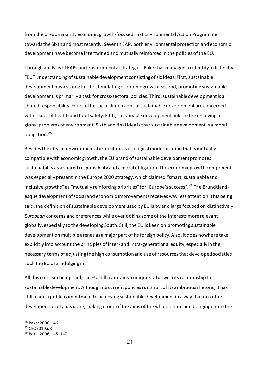from the predominantly economic growth-focused First Environmental Action Programme towards the Sixth and most recently, Seventh EAP, both environmental protection and economic development have become intertwined and mutually reinforced in the policies of the EU.

Through analysis of EAPs and environmental strategies, Baker has managed to identify a distinctly "EU" understanding of sustainable development consisting of six ideas: First, sustainable development has a strong link to stimulating economic growth. Second, promoting sustainable development is primarily a task for cross-sectoral policies. Third, sustainable development is a shared responsibility. Fourth, the social dimensions of sustainable development are concerned with issues of health and food safety. Fifth, sustainable development links to the resolving of global problems of environment. Sixth and final idea is that sustainable development is a moral obligation.<sup>88</sup>

Besides the idea of environmental protection as ecological modernization that is mutually compatible with economic growth, the EU brand of sustainable development promotes sustainability as a shared responsibility and a moral obligation. The economic growth component was especially present in the Europe 2020 strategy, which claimed "smart, sustainable and inclusive growths" as "mutually reinforcing priorities" for "Europe's success".<sup>89</sup> The Brundtlandesque development of social and economic improvements receives way less attention. This being said, the definition of sustainable development used by EU is by and large focused on distinctively *European* concerns and preferences while overlooking some of the interests more relevant globally, especially to the developing South. Still, the EU is keen on promoting sustainable development on multiple arenas as a major part of its foreign policy. Also, it does nowhere take explicitly into account the principles of inter- and intra-generational equity, especially in the necessary terms of adjusting the high consumption and use of resources that developed societies such the EU are indulging in.<sup>90</sup>

All this criticism being said, the EU still maintains a unique status with its relationship to sustainable development. Although its current policies run short of its ambitious rhetoric, it has still made a public commitment to achieving sustainable development in a way that no other developed society has done, making it one of the aims of the whole Union and bringing it into the

<sup>88</sup> Baker 2006, 146

<sup>89</sup> CEC 2010a, 3

<sup>90</sup> Baker 2006, 145–147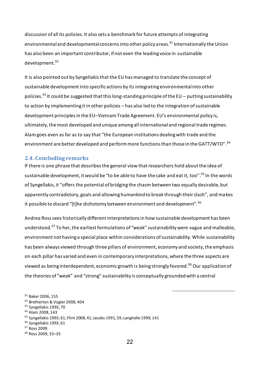discussion of all its policies. It also sets a benchmark for future attempts of integrating environmental and developmental concerns into other policy a reas.<sup>91</sup> Internationally the Union has also been an important contributor, if not even the leading voice in sustainable development.<sup>92</sup>

It is also pointed out by Syngellakis that the EU has managed to translate the concept of sustainable development into specific actions by its integrating environmental into other policies. <sup>93</sup> It could be suggested that this long-standing principle of the EU – putting sustainability to action by implementing it in other policies – has also led to the integration of sustainable development principles in the EU–Vietnam Trade Agreement. EU's environmental policy is, ultimately, the most developed and unique among all international and regional trade regimes. Alam goes even as far as to say that "the European institutions dealing with trade and the environment are better developed and perform more functions than those in the GATT/WTO".  $^{94}$ 

#### <span id="page-22-0"></span>**2.4. Concluding remarks**

If there is one phrase that describes the general view that researchers hold about the idea of sustainable development, it would be "to be able to have the cake and eat it, too". <sup>95</sup> In the words of Syngellakis, it "offers the potential of bridging the chasm between two equally desirable, but apparently contradictory, goals and allowing humankind to break through their clash", and makes it possible to discard "[t]he dichotomy between environment and development". <sup>96</sup>

Andrea Rosssees historically different interpretations in how sustainable development has been understood.<sup>97</sup> To her, the earliest formulations of "weak" sustainability were vague and malleable, environment not having a special place within considerations of sustainability. While sustainability has been always viewed through three pillars of environment, economy and society, the emphasis on each pillar has varied and even in contemporary interpretations, where the three aspects are viewed as being interdependent, economic growth is being strongly favored.<sup>98</sup> Our application of the theories of "weak" and "strong" sustainability is conceptually grounded with a central

<sup>&</sup>lt;sup>91</sup> Baker 2006, 155 92 Bretherton & Vogler 2008, 404 93 Syngellakis 1993, 70 <sup>94</sup> Alam 2008, 143 95 Syngellakis 1993, 61; Flint 2008, 41; Jacobs 1991, 59; Langhelle 1999, 141 <sup>96</sup> Syngellakis 1993, 61 <sup>97</sup> Ross 2009

<sup>98</sup> Ross 2009, 33–35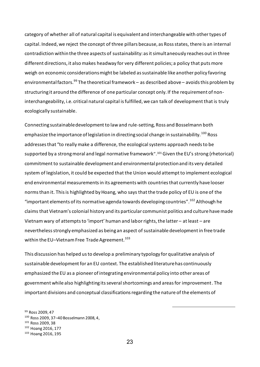category of whether all of natural capital is equivalent and interchangeable with other types of capital. Indeed, we reject the concept of three pillars because, as Ross states, there is an internal contradiction within the three aspects of sustainability: as it simultaneously reaches out in three different directions, it also makes headway for very different policies; a policy that puts more weigh on economic considerations might be labeled as sustainable like another policy favoring environmental factors.<sup>99</sup> The theoretical framework – as described above – avoids this problem by structuring it around the difference of one particular concept only. If the requirement of noninterchangeability, i.e. critical natural capital is fulfilled, we can talk of development that is truly ecologically sustainable.

Connecting sustainable development to law and rule-setting, Ross and Bosselmann both emphasize the importance of legislation in directing social change in sustainability.<sup>100</sup> Ross addresses that "to really make a difference, the ecological systems approach needs to be supported by a strong moral and legal normative framework".<sup>101</sup> Given the EU's strong (rhetorical) commitment to sustainable development and environmental protection and its very detailed system of legislation, it could be expected that the Union would attempt to implement ecological end environmental measurements in its agreements with countries that currently have looser norms than it. This is highlighted by Hoang, who says that the trade policy of EU is one of the "important elements of its normative agenda towards developing countries". <sup>102</sup> Although he claims that Vietnam's colonial history and its particular communist politics and culture have made Vietnam wary of attempts to 'import' human and labor rights, the latter – at least – are nevertheless strongly emphasized as being an aspect of sustainable development in free trade within the EU-Vietnam Free Trade Agreement.<sup>103</sup>

This discussion has helped us to develop a preliminary typology for qualitative analysis of sustainable development for an EU context. The established literature has continuously emphasized the EU as a pioneer of integrating environmental policy into other areas of government while also highlighting its several shortcomings and areas for improvement. The important divisions and conceptual classifications regarding the nature of the elements of

<sup>99</sup> Ross 2009, 47 Ross 2009, 37–40 Bosselmann 2008, 4, Ross 2009, 38 Hoang 2016, 177 Hoang 2016, 195

23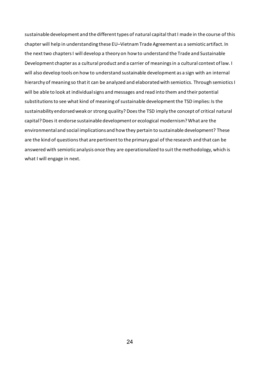sustainable development and the different types of natural capital that I made in the course of this chapter will help in understanding these EU–Vietnam Trade Agreement as a semiotic artifact. In the next two chapters I will develop a theory on how to understand the Trade and Sustainable Development chapter as a cultural product and a carrier of meanings in a cultural context of law. I will also develop tools on how to understand sustainable development as a sign with an internal hierarchy of meaning so that it can be analyzed and elaborated with semiotics. Through semiotics I will be able to look at individual signs and messages and read into them and their potential substitutions to see what kind of meaning of sustainable development the TSD implies: Is the sustainability endorsed weak or strong quality? Does the TSD imply the concept of critical natural capital? Does it endorse sustainable development or ecological modernism? What are the environmental and social implications and how they pertain to sustainable development? These are the kind of questions that are pertinent to the primary goal of the research and that can be answered with semiotic analysis once they are operationalized to suit the methodology, which is what I will engage in next.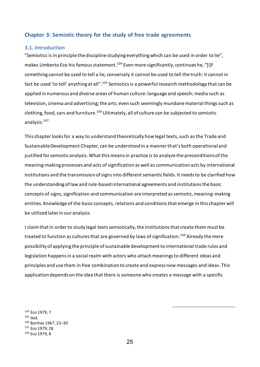#### <span id="page-25-0"></span>**Chapter 3: Semiotic theory for the study of free trade agreements**

#### <span id="page-25-1"></span>**3.1. Introduction**

"Semiotics is in principle the discipline studying everything which can be used in order to lie", makes Umberto Eco his famous statement.<sup>104</sup> Even more significantly, continues he, "[i]f something cannot be used to tell a lie, conversely it cannot be used to tell the truth: it cannot in fact be used 'to tell' anything at all".<sup>105</sup> Semiotics is a powerful research methodology that can be applied in numerous and diverse areas of human culture: language and speech; media such as television, cinema and advertising; the arts; even such seemingly mundane material things such as clothing, food, cars and furniture.<sup>106</sup> Ultimately, all of culture can be subjected to semiotic analysis. <sup>107</sup>

This chapter looks for a way to understand theoretically how legal texts, such as the Trade and Sustainable Development Chapter, can be understood in a manner that's both operational and justified for semiotic analysis. What this means in practice is to analyze the preconditions of the meaning-making processes and acts of signification as well as communication acts by international institutions and the transmission of signs into different semantic fields. It needsto be clarified how the understanding of law and rule-based international agreements and institutions the basic concepts of signs, signification and communication are interpreted as semiotic, meaning-making entities. Knowledge of the basic concepts, relations and conditions that emerge in this chapter will be utilized later in our analysis.

I claim that in order to study legal texts semiotically, the institutions that create them must be treated to function as cultures that are governed by laws of signification.<sup>108</sup> Already the mere possibility of applying the principle of sustainable development to international trade rules and legislation happens in a social realm with actors who attach meanings to different ideas and principles and use them in free combination to create and express new messages and ideas. This application depends on the idea that there is someone who creates a message with a specific

 Eco 1979, 7  $105$  ibid. Barthes 1967, 23–30 Eco 1979, 28 Eco 1979, 8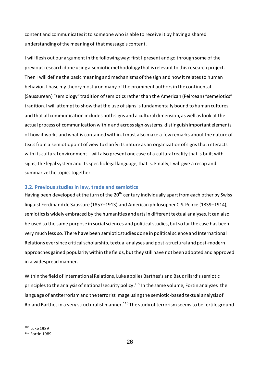content and communicates it to someone who is able to receive it by having a shared understanding of the meaning of that message's content.

I will flesh out our argument in the following way: first I present and go through some of the previous research done using a semiotic methodology that is relevant to this research project. Then I will define the basic meaning and mechanisms of the sign and how it relates to human behavior. I base my theory mostly on many of the prominent authors in the continental (Saussurean) "semiology" tradition of semiotics rather than the American (Peircean) "semeiotics" tradition. I will attempt to show that the use of signs is fundamentally bound to human cultures and that all communication includes both signs and a cultural dimension, as well as look at the actual process of communication within and across sign-systems, distinguish important elements of how it works and what is contained within. I must also make a few remarks about the nature of texts from a semiotic point of view to clarify its nature as an organization of signs that interacts with its cultural environment. I will also present one case of a cultural reality that is built with signs; the legal system and its specific legal language, that is. Finally, I will give a recap and summarize the topics together.

#### <span id="page-26-0"></span>**3.2. Previous studies in law, trade and semiotics**

Having been developed at the turn of the 20<sup>th</sup> century individually apart from each other by Swiss linguist Ferdinand de Saussure (1857–1913) and American philosopher C.S. Peirce (1839–1914), semiotics is widely embraced by the humanities and arts in different textual analyses. It can also be used to the same purpose in social sciences and political studies, but so far the case has been very much less so. There have been semiotic studies done in political science and International Relations ever since critical scholarship, textual analyses and post-structural and post-modern approaches gained popularity within the fields, but they still have not been adopted and approved in a widespread manner.

Within the field of International Relations, Luke applies Barthes's and Baudrillard's semiotic principles to the analysis of national security policy.<sup>109</sup> In the same volume, Fortin analyzes the language of antiterrorism and the terrorist image using the semiotic-based textual analysis of Roland Barthes in a very structuralist manner.<sup>110</sup> The study of terrorism seems to be fertile ground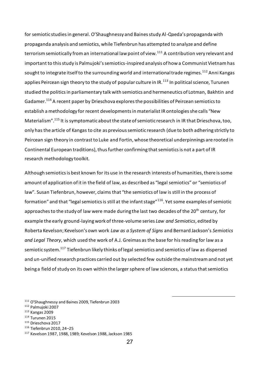for semiotic studies in general. O'Shaughnessy and Baines study Al-Qaeda's propaganda with propaganda analysis and semiotics, while Tiefenbrun has attempted to analyze and define terrorism semiotically from an international law point of view.<sup>111</sup> A contribution very relevant and important to this study is Palmujoki's semiotics-inspired analysis of how a Communist Vietnam has sought to integrate itself to the surrounding world and international trade regimes.<sup>112</sup> Anni Kangas applies Peircean sign theory to the study of popular culture in IR.<sup>113</sup> In political science, Turunen studied the politics in parliamentary talk with semiotics and hermeneutics of Lotman, Bakhtin and Gadamer.<sup>114</sup> A recent paper by Drieschova explores the possibilities of Peircean semiotics to establish a methodology for recent developments in materialist IR ontologies she calls "New Materialism".<sup>115</sup> It is symptomatic about the state of semiotic research in IR that Drieschova, too, only has the article of Kangas to cite as previous semiotic research (due to both adhering strictly to Peircean sign theory in contrast to Luke and Fortin, whose theoretical underpinnings are rooted in Continental European traditions), thus further confirming that semiotics is not a part of IR research methodology toolkit.

Although semiotics is best known for its use in the research interests of humanities, there is some amount of application of it in the field of law, as described as "legal semiotics" or "semiotics of law". Susan Tiefenbrun, however, claims that "the semiotics of law is still in the process of formation" and that "legal semiotics is still at the infant stage"<sup>116</sup>. Yet some examples of semiotic approaches to the study of law were made during the last two decades of the 20<sup>th</sup> century, for example the early ground-laying work of three-volume series *Law and Semiotics*, edited by Roberta Kevelson; Kevelson's own work *Law as a System of Signs* and Bernard Jackson's *Semiotics and Legal Theory*, which used the work of A.J. Greimas as the base for his reading for law as a semiotic system.<sup>117</sup> Tiefenbrun likely thinks of legal semiotics and semiotics of law as dispersed and un-unified research practices carried out by selected few outside the mainstream and not yet being a field of study on its own within the larger sphere of law sciences, a status that semiotics

<sup>111</sup> O'Shaughnessy and Baines 2009, Tiefenbrun 2003

- <sup>112</sup> Palmujoki 2007
- <sup>113</sup> Kangas 2009
- <sup>114</sup> Turunen 2015
- <sup>115</sup> Drieschova 2017
- <sup>116</sup> Tiefenbrun 2010, 24–25

<sup>117</sup> Kevelson 1987, 1988, 1989; Kevelson 1988, Jackson 1985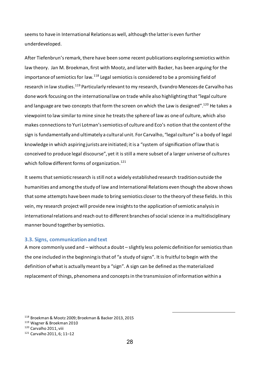seems to have in International Relations as well, although the latter is even further underdeveloped.

After Tiefenbrun's remark, there have been some recent publications exploring semiotics within law theory. Jan M. Broekman, first with Mootz, and later with Backer, has been arguing for the importance of semiotics for law.<sup>118</sup> Legal semiotics is considered to be a promising field of research in law studies.<sup>119</sup> Particularly relevant to my research, Evandro Menezes de Carvalho has done work focusing on the international law on trade while also highlighting that "legal culture and language are two concepts that form the screen on which the Law is designed".<sup>120</sup> He takes a viewpoint to law similar to mine since he treats the sphere of law as one of culture, which also makes connections to Yuri Lotman's semiotics of culture and Eco's notion that the content of the sign is fundamentally and ultimately a cultural unit. For Carvalho, "legal culture" is a body of legal knowledge in which aspiring jurists are initiated; it is a "system of signification of law that is conceived to produce legal discourse", yet it is still a mere subset of a larger universe of cultures which follow different forms of organization. 121

It seems that semiotic research is still not a widely established research tradition outside the humanities and among the study of law and International Relations even though the above shows that some attempts have been made to bring semiotics closer to the theory of these fields. In this vein, my research project will provide new insights to the application of semiotic analysis in international relations and reach out to different branches of social science in a multidisciplinary manner bound together by semiotics.

#### <span id="page-28-0"></span>**3.3. Signs, communication and text**

A more commonly used and – without a doubt – slightly less polemic definition for semiotics than the one included in the beginning is that of "a study of signs". It is fruitful to begin with the definition of what is actually meant by a "sign". A sign can be defined as the materialized replacement of things, phenomena and concepts in the transmission of information within a

<sup>118</sup> Broekman & Mootz 2009; Broekman & Backer 2013, 2015

<sup>119</sup> Wagner & Broekman 2010

<sup>120</sup> Carvalho 2011, viii

<sup>121</sup> Carvalho 2011, 6; 11–12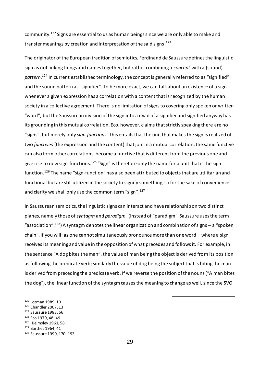community.<sup>122</sup> Signs are essential to us as human beings since we are only able to make and transfer meanings by creation and interpretation of the said signs. 123

The originator of the European tradition of semiotics, Ferdinand de Saussure defines the linguistic sign as not linking things and names together, but rather combining a *concept* with a (sound) *pattern*. <sup>124</sup> In current established terminology, the concept is generally referred to as "signified" and the sound pattern as "signifier". To be more exact, we can talk about an existence of a sign whenever a given expression has a correlation with a content that is recognized by the human society in a collective agreement. There is no limitation of signs to covering only spoken or written "word", but the Saussurean division of the sign into a dyad of a signifier and signified anyway has its grounding in this mutual correlation. Eco, however, claims that strictly speaking there are no "signs", but merely only *sign-functions*. This entails that the unit that makes the sign is realized of two *functives* (the expression and the content) that join in a mutual correlation; the same functive can also form other correlations, become a functive that is different from the previous one and give rise to new sign-functions. $^{125}$  "Sign" is therefore only the name for a unit that is the signfunction.<sup>126</sup> The name "sign-function" has also been attributed to objects that are utilitarian and functional but are still utilized in the society to signify something, so for the sake of convenience and clarity we shall only use the common term "sign".<sup>127</sup>

In Saussurean semiotics, the linguistic signs can interact and have relationship on two distinct planes, namely those of *syntagm* and *paradigm.* (Instead of "paradigm", Saussure uses the term "association". <sup>128</sup>) A syntagm denotes the linear organization and combination of signs – a "spoken chain", if you will; as one cannot simultaneously pronounce more than one word – where a sign receives its meaning and value in the opposition of what precedes and follows it. For example, in the sentence "A dog bites the man", the value of man being the object is derived from its position as following the predicate verb; similarly the value of dog being the subject that is biting the man is derived from preceding the predicate verb. If we reverse the position of the nouns ("A man bites the dog"), the linear function of the syntagm causes the meaning to change as well, since the SVO

 Lotman 1989, 10 Chandler 2007, 13 Saussure 1983, 66 Eco 1979, 48–49 Hjelmslev 1961, 58 Barthes 1964, 41 Saussure 1990, 170–192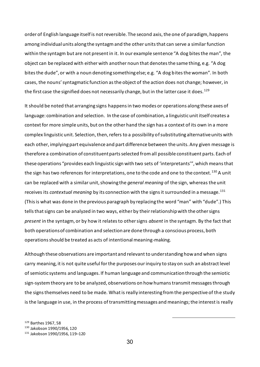order of English language itself is not reversible. The second axis, the one of paradigm, happens among individual units along the syntagm and the other units that can serve a similar function within the syntagm but are not present in it. In our example sentence "A dog bites the man", the object can be replaced with either with another noun that denotes the same thing, e.g. "A dog bites the dude", or with a noun denoting something else; e.g. "A dog bites the woman". In both cases, the nouns' syntagmatic function as the object of the action does not change; however, in the first case the signified does not necessarily change, but in the latter case it does.  $^{129}$ 

It should be noted that arranging signs happens in two modes or operations along these axes of language: combination and selection. In the case of combination, a linguistic unit itself creates a context for more simple units, but on the other hand the sign has a context of its own in a more complex linguistic unit. Selection, then, refers to a possibility of substituting alternative units with each other, implying part equivalence and part difference between the units. Any given message is therefore a combination of constituent parts selected from all possible constituent parts. Each of these operations "provides each linguistic sign with two sets of 'interpretants'", which means that the sign has two references for interpretations, one to the code and one to the context.<sup>130</sup> A unit can be replaced with a similar unit, showing the *general meaning* of the sign, whereas the unit receives its *contextual meaning* by its connection with the signs it surrounded in a message.<sup>131</sup> (This is what was done in the previous paragraph by replacing the word "man" with "dude".) This tells that signs can be analyzed in two ways, either by their relationship with the other signs *present* in the syntagm, or by how it relates to other signs *absent* in the syntagm. By the fact that both operations of combination and selection are done through a conscious process, both operations should be treated as acts of intentional meaning-making.

Although these observations are important and relevant to understanding how and when signs carry meaning, it is not quite useful for the purposes our inquiry to stay on such an abstract level of semiotic systems and languages. If human language and communication through the semiotic sign-system theory are to be analyzed, observations on how humans transmit messages through the signs themselves need to be made. What is really interesting from the perspective of the study is the language in use, in the process of transmitting messages and meanings; the interest is really

<sup>129</sup> Barthes 1967, 58

<sup>130</sup> Jakobson 1990/1956, 120

<sup>131</sup> Jakobson 1990/1956, 119–120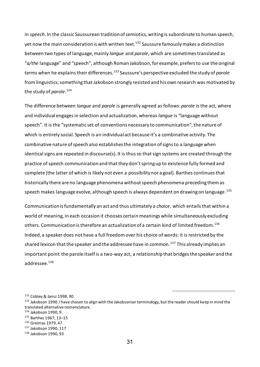in *speech*. In the classic Saussurean tradition of semiotics, writing is subordinate to human speech, yet now the main consideration is with written text. <sup>132</sup> Saussure famously makes a distinction between two types of language, mainly *langue* and *parole*, which are sometimes translated as "*a/the* language" and "speech", although Roman Jakobson, for example, prefers to use the original terms when he explains their differences.<sup>133</sup> Saussure's perspective excluded the study of *parole* from linguistics; something that Jakobson strongly resisted and his own research was motivated by the study of *parole*. 134

The difference between *langue* and *parole* is generally agreed as follows: *parole* is the act, where and individual engages in selection and actualization, whereas *langue* is "language without speech". It is the "systematic set of conventions necessary to communication", the nature of which is entirely social. Speech is an individual act because it's a combinative activity. The combinative nature of speech also establishes the integration of signs to a language when identical signs are repeated in discourse(s). It is thus so that sign systems are created through the practice of speech communication and that they don't spring up to existence fully formed and complete (the latter of which is likely not even a possibility nor a goal). Barthes continues that historically there are no language phenomena without speech phenomena preceding them as speech makes language evolve, although speech is always dependent on drawing on language . $^{135}\,$ 

Communication is fundamentally an act and thus ultimately a *choice*, which entails that within a world of meaning, in each occasion it chooses certain meanings while simultaneously excluding others. Communication is therefore an actualization of a certain kind of limited freedom.<sup>136</sup> Indeed, a speaker does not have a full freedom over his choice of words: it is restricted by the shared lexicon that the speaker and the addressee have in common. <sup>137</sup> This already implies an important point: the parole itself is a two-way act, a relationship that bridges the speaker and the addressee. 138

<sup>132</sup> Cobley & Jansz 1998, 90

<sup>&</sup>lt;sup>133</sup> Jakobson 1990. I have chosen to align with the Jakobsonian terminology, but the reader should keep in mind the translated alternative nomenclature.

<sup>134</sup> Jakobson 1990, 9.

<sup>135</sup> Barthes 1967, 13–15

<sup>136</sup> Greimas 1979, 47

<sup>137</sup> Jakobson 1990, 117

<sup>138</sup> Jakobson 1990, 93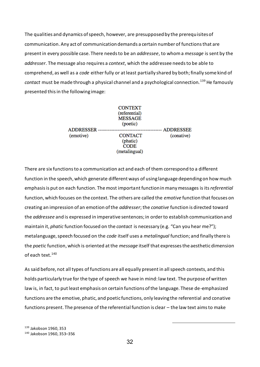The qualities and dynamics of speech, however, are presupposed by the prerequisites of communication. Any act of communication demands a certain number of functions that are present in every possible case. There needs to be an *addressee*, to whom a *message* is sent by the *addresser*. The message also requires a *context*, which the addressee needs to be able to comprehend, as well as a *code* either fully or at least partially shared by both; finally some kind of *contact* must be made through a physical channel and a psychological connection.<sup>139</sup> He famously presented this in the following image:

| <b>ADDRESSER</b><br>(emotive) | <b>CONTEXT</b><br>(referential)<br><b>MESSAGE</b><br>(poetic) | <b>ADDRESSEE</b> |
|-------------------------------|---------------------------------------------------------------|------------------|
|                               | <b>CONTACT</b><br>(phatic)<br><b>CODE</b><br>(metalingual)    | (conative)       |

There are six functions to a communication act and each of them correspond to a different function in the speech, which generate different ways of using language depending on how much emphasis is put on each function. The most important function in many messages is its *referential*  function, which focuses on the context. The others are called the *emotive* function that focuses on creating an impression of an emotion of the *addresser*; the *conative* function is directed toward the *addressee* and is expressed in imperative sentences; in order to establish communication and maintain it, *phatic* function focused on the *contact* is necessary (e.g. "Can you hear me?"); metalanguage, speech focused on the *code* itself uses a *metalingual* function; and finally there is the *poetic* function, which is oriented at the *message* itself that expresses the aesthetic dimension of each text.<sup>140</sup>

As said before, not all types of functions are all equally present in all speech contexts, and this holds particularly true for the type of speech we have in mind: law text. The purpose of written law is, in fact, to put least emphasis on certain functions of the language. These de-emphasized functions are the emotive, phatic, and poetic functions, only leaving the referential and conative functions present. The presence of the referential function is clear – the law text aims to make

<sup>139</sup> Jakobson 1960, 353 <sup>140</sup> Jakobson 1960, 353–356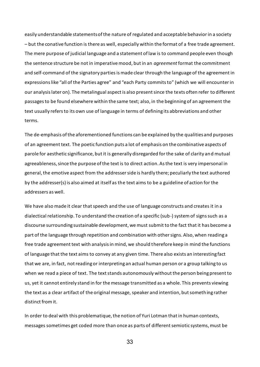easily understandable statements of the nature of regulated and acceptable behavior in a society – but the conative function is there as well, especially within the format of a free trade agreement. The mere purpose of judicial language and a statement of law is to command people even though the sentence structure be not in imperative mood, but in an *agreement* format the commitment and self-command of the signatory parties is made clear through the language of the agreement in expressions like "all of the Parties agree" and "each Party commits to" (which we will encounter in our analysis later on). The metalingual aspect is also present since the texts often refer to different passages to be found elsewhere within the same text; also, in the beginning of an agreement the text usually refers to its own use of language in terms of defining its abbreviations and other terms.

The de-emphasis of the aforementioned functions can be explained by the qualities and purposes of an agreement text. The poetic function puts a lot of emphasis on the combinative aspects of parole for aesthetic significance, but it is generally disregarded for the sake of clarity and mutual agreeableness, since the purpose of the text is to direct action. As the text is very impersonal in general, the emotive aspect from the addresser side is hardly there; peculiarly the text authored by the addresser(s) is also aimed at itself as the text aims to be a guideline of action for the addressers as well.

We have also made it clear that speech and the use of language constructs and creates it in a dialectical relationship. To understand the creation of a specific (sub-) system of signs such as a discourse surrounding sustainable development, we must submit to the fact that it has become a part of the language through repetition and combination with other signs. Also, when reading a free trade agreement text with analysis in mind, we should therefore keep in mind the functions of language that the text aims to convey at any given time. There also exists an interesting fact that we are, in fact, not reading or interpreting an actual human person or a group talking to us when we read a piece of text. The text stands autonomously without the person being present to us, yet it cannot entirely stand in for the message transmitted as a whole. This prevents viewing the text as a clear artifact of the original message, speaker and intention, but something rather distinct from it.

In order to deal with this problematique, the notion of Yuri Lotman that in human contexts, messages sometimes get coded more than once as parts of different semiotic systems, must be

33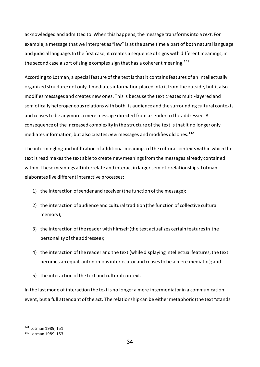acknowledged and admitted to. When this happens, the message transforms into a *text*. For example, a message that we interpret as "law" is at the same time a part of both natural language and judicial language. In the first case, it creates a sequence of signs with different meanings; in the second case a sort of single complex sign that has a coherent meaning.<sup>141</sup>

According to Lotman, a special feature of the text is that it contains features of an intellectually organized structure: not only it mediates information placed into it from the outside, but it also modifies messages and creates new ones. This is because the text creates multi-layered and semiotically heterogeneous relations with both its audience and the surrounding cultural contexts and ceases to be anymore a mere message directed from a sender to the addressee. A consequence of the increased complexity in the structure of the text is that it no longer only mediates information, but also creates *new* messages and modifies old ones.<sup>142</sup>

The intermingling and infiltration of additional meanings of the cultural contexts within which the text is read makes the text able to create new meanings from the messages already contained within. These meanings all interrelate and interact in larger semiotic relationships. Lotman elaborates five different interactive processes:

- 1) the interaction of sender and receiver (the function of the message);
- 2) the interaction of audience and cultural tradition (the function of collective cultural memory);
- 3) the interaction of the reader with himself (the text actualizes certain features in the personality of the addressee);
- 4) the interaction of the reader and the text (while displaying intellectual features, the text becomes an equal, autonomous interlocutor and ceases to be a mere mediator); and
- 5) the interaction of the text and cultural context.

In the last mode of interaction the text is no longer a mere intermediator in a communication event, but a full attendant of the act. The relationship can be either metaphoric (the text "stands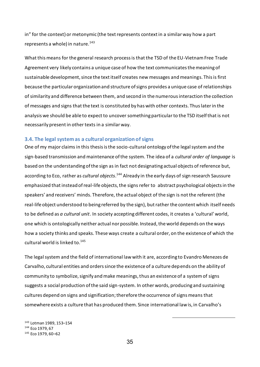in" for the context) or metonymic (the text represents context in a similar way how a part represents a whole) in nature. $143$ 

What this means for the general research process is that the TSD of the EU-Vietnam Free Trade Agreement very likely contains a unique case of how the text communicates the meaning of sustainable development, since the text itself creates new messages and meanings. This is first because the particular organization and structure of signs provides a unique case of relationships of similarity and difference between them, and second in the numerous interaction the collection of messages and signs that the text is constituted by has with other contexts. Thus later in the analysis we should be able to expect to uncover something particular to the TSD itself that is not necessarily present in other texts in a similar way.

#### <span id="page-35-0"></span>**3.4. The legal system as a cultural organization of signs**

One of my major claims in this thesis is the socio-cultural ontology of the legal system and the sign-based transmission and maintenance of the system. The idea of a *cultural order of language* is based on the understanding of the sign as in fact not designating actual objects of reference but, according to Eco, rather as *cultural objects*. <sup>144</sup> Already in the early days of sign research Saussure emphasized that instead of real-life objects, the signs refer to abstract psychological objects in the speakers' and receivers' minds. Therefore, the actual object of the sign is not the referent (the real-life object understood to being referred by the sign), but rather the content which itself needs to be defined as *a cultural unit*. In society accepting different codes, it creates a 'cultural' world, one which is ontologically neither actual nor possible. Instead, the world depends on the ways how a society thinks and speaks. These ways create a cultural order, on the existence of which the cultural world is linked to.<sup>145</sup>

The legal system and the field of international law with it are, according to Evandro Menezes de Carvalho, cultural entities and orders since the existence of a culture depends on the ability of community to symbolize, signify and make meanings, thus an existence of a system of signs suggests a social production of the said sign-system. In other words, producing and sustaining cultures depend on signs and signification; therefore the occurrence of signs means that somewhere exists a culture that has produced them. Since international law is, in Carvalho's

<sup>143</sup> Lotman 1989, 153–154 <sup>144</sup> Eco 1979, 67 <sup>145</sup> Eco 1979, 60–62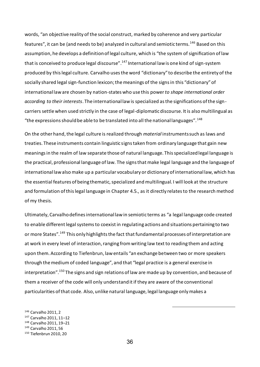words, "an objective reality of the social construct, marked by coherence and very particular features", it can be (and needs to be) analyzed in cultural and semiotic terms.<sup>146</sup> Based on this assumption, he develops a definition of legal culture, which is "the system of signification of law that is conceived to produce legal discourse".<sup>147</sup> International law is one kind of sign-system produced by this legal culture. Carvalho uses the word "dictionary" to describe the entirety of the socially shared legal sign-function lexicon; the meanings of the signs in this "dictionary" of international law are chosen by nation-states who use this power *to shape international order according to their interests*. The international law is specialized as the significations of the signcarriers settle when used strictly in the case of legal-diplomatic discourse. It is also multilingual as "the expressions should be able to be translated into all the national languages".  $^{148}$ 

On the other hand, the legal culture is realized through *material* instruments such as laws and treaties. These instruments contain linguistic signs taken from ordinary language that gain new meanings in the realm of law separate those of natural language. This specialized legal language is the practical, professional language of law. The signs that make legal language and the language of international law also make up a particular vocabulary or dictionary of international law, which has the essential features of being thematic, specialized and multilingual. I will look at the structure and formulation of this legal language in Chapter 4.5., as it directly relates to the research method of my thesis.

Ultimately, Carvalho defines international law in semiotic terms as "a legal language code created to enable different legal systems to coexist in regulating actions and situations pertaining to two or more States".<sup>149</sup> This only highlights the fact that fundamental processes of interpretation are at work in every level of interaction, ranging from writing law text to reading them and acting upon them. According to Tiefenbrun, law entails "an exchange between two or more speakers through the medium of coded language", and that "legal practice is a general exercise in interpretation".<sup>150</sup> The signs and sign relations of law are made up by convention, and because of them a receiver of the code will only understand it if they are aware of the conventional particularities of that code. Also, unlike natural language, legal language only makes a

<sup>146</sup> Carvalho 2011, 2 <sup>147</sup> Carvalho 2011, 11–12 <sup>148</sup> Carvalho 2011, 19–21 <sup>149</sup> Carvalho 2011, 56 <sup>150</sup> Tiefenbrun 2010, 20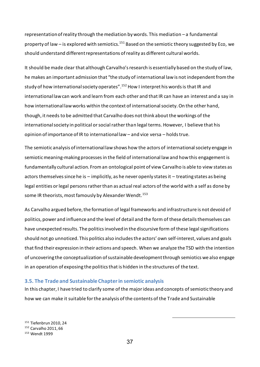representation of reality through the mediation by words. This mediation – a fundamental property of law – is explored with semiotics.<sup>151</sup> Based on the semiotic theory suggested by Eco, we should understand different representations of reality as different cultural worlds.

It should be made clear that although Carvalho's research is essentially based on the study of law, he makes an important admission that "the study of international law is not independent from the study of how international society operates".<sup>152</sup> How I interpret his words is that IR and international law can work and learn from each other and that IR can have an interest and a say in how international law works within the context of international society. On the other hand, though, it needs to be admitted that Carvalho does not think about the workings of the international society in political or social rather than legal terms. However, I believe that his opinion of importance of IR to international law – and vice versa – holds true.

The semiotic analysis of international law shows how the actors of international society engage in semiotic meaning-making processes in the field of international law and how this engagement is fundamentally cultural action. From an ontological point of view Carvalho is able to view states as actors themselves since he is – implicitly, as he never openly states it – treating states as being legal entities or legal persons rather than as actual real actors of the world with a self as done by some IR theorists, most famously by Alexander Wendt.<sup>153</sup>

As Carvalho argued before, the formation of legal frameworks and infrastructure is not devoid of politics, power and influence and the level of detail and the form of these details themselves can have unexpected results. The politics involved in the discursive form of these legal significations should not go unnoticed. This politics also includes the actors' own self-interest, values and goals that find their expression in their actions and speech. When we analyze the TSD with the intention of uncovering the conceptualization of sustainable development through semiotics we also engage in an operation of exposing the politics that is hidden in the structures of the text.

# **3.5. The Trade and Sustainable Chapter in semiotic analysis**

In this chapter, I have tried to clarify some of the major ideas and concepts of semiotic theory and how we can make it suitable for the analysis of the contents of the Trade and Sustainable

<sup>151</sup> Tiefenbrun 2010, 24 <sup>152</sup> Carvalho 2011, 66 <sup>153</sup> Wendt 1999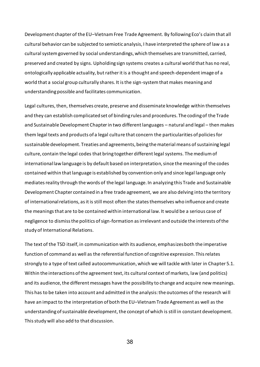Development chapter of the EU–Vietnam Free Trade Agreement. By following Eco's claim that all cultural behavior can be subjected to semiotic analysis, I have interpreted the sphere of law as a cultural system governed by social understandings, which themselves are transmitted, carried, preserved and created by signs. Upholding sign systems creates a cultural world that has no real, ontologically applicable actuality, but rather it is a thought and speech-dependent image of a world that a social group culturally shares. It is the sign-system that makes meaning and understanding possible and facilitates communication.

Legal cultures, then, themselves create, preserve and disseminate knowledge within themselves and they can establish complicated set of binding rules and procedures. The coding of the Trade and Sustainable Development Chapter in two different languages – natural and legal – then makes them legal texts and products of a legal culture that concern the particularities of policies for sustainable development. Treaties and agreements, being the material means of sustaining legal culture, contain the legal codes that bring together different legal systems. The medium of international law language is by default based on interpretation, since the meaning of the codes contained within that language is established by convention only and since legal language only mediates reality through the words of the legal language. In analyzing this Trade and Sustainable Development Chapter contained in a free trade agreement, we are also delving into the territory of international relations, as it is still most often the states themselves who influence and create the meanings that are to be contained within international law. It would be a serious case of negligence to dismiss the politics of sign-formation as irrelevant and outside the interests of the study of International Relations.

The text of the TSD itself, in communication with its audience, emphasizes both the imperative function of command as well as the referential function of cognitive expression. This relates strongly to a type of text called autocommunication, which we will tackle with later in Chapter 5.1. Within the interactions of the agreement text, its cultural context of markets, law (and politics) and its audience, the different messages have the possibility to change and acquire new meanings. This has to be taken into account and admitted in the analysis: the outcomes of the research wi ll have an impact to the interpretation of both the EU–Vietnam Trade Agreement as well as the understanding of sustainable development, the concept of which is still in constant development. This study will also add to that discussion.

38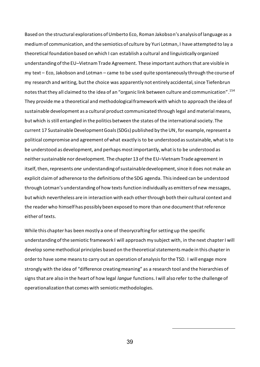Based on the structural explorations of Umberto Eco, Roman Jakobson's analysis of language as a medium of communication, and the semiotics of culture by Yuri Lotman, I have attempted to lay a theoretical foundation based on which I can establish a cultural and linguistically organized understanding of the EU–Vietnam Trade Agreement. These important authors that are visible in my text – Eco, Jakobson and Lotman – came to be used quite spontaneously through the course of my research and writing, but the choice was apparently not entirely accidental, since Tiefenbrun notes that they all claimed to the idea of an "organic link between culture and communication". 154 They provide me a theoretical and methodological framework with which to approach the idea of sustainable development as a cultural product communicated through legal and material means, but which is still entangled in the politics between the states of the international society. The current 17 Sustainable Development Goals (SDGs) published by the UN, for example, represent a political compromise and agreement of what exactly is to be understood as sustainable, what is to be understood as development, and perhaps most importantly, what is to be understood as neither sustainable nor development. The chapter 13 of the EU–Vietnam Trade agreement in itself, then, represents *one* understanding of sustainable development, since it does not make an explicit claim of adherence to the definitions of the SDG agenda. This indeed can be understood through Lotman's understanding of how texts function individually as emitters of new messages, but which nevertheless are in interaction with each other through both their cultural context and the reader who himself has possibly been exposed to more than one document that reference either of texts.

While this chapter has been mostly a one of theorycrafting for setting up the specific understanding of the semiotic framework I will approach my subject with, in the next chapter I will develop some methodical principles based on the theoretical statements made in this chapter in order to have some means to carry out an operation of analysis for the TSD. I will engage more strongly with the idea of "difference creating meaning" as a research tool and the hierarchies of signs that are also in the heart of how legal *langue* functions. I will also refer to the challenge of operationalization that comes with semiotic methodologies.

39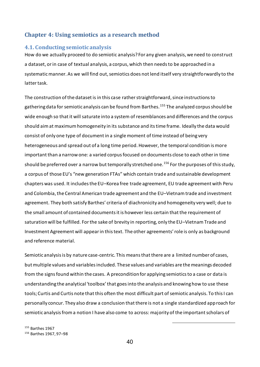# **Chapter 4: Using semiotics as a research method**

#### **4.1. Conducting semiotic analysis**

How do we actually proceed to do semiotic analysis? For any given analysis, we need to construct a dataset, or in case of textual analysis, a corpus, which then needs to be approached in a systematic manner. As we will find out, semiotics does not lend itself very straightforwardly to the latter task.

The construction of the dataset is in this case rather straightforward, since instructions to gathering data for semiotic analysis can be found from Barthes.<sup>155</sup> The analyzed corpus should be wide enough so that it will saturate into a system of resemblances and differences and the corpus should aim at maximum homogeneity in its substance and its time frame. Ideally the data would consist of only one type of document in a single moment of time instead of being very heterogeneous and spread out of a long time period. However, the temporal condition is more important than a narrow one: a varied corpus focused on documents close to each other in time should be preferred over a narrow but temporally stretched one.<sup>156</sup> For the purposes of this study, a corpus of those EU's "new generation FTAs" which contain trade and sustainable development chapters was used. It includes the EU–Korea free trade agreement, EU trade agreement with Peru and Colombia, the Central American trade agreement and the EU–Vietnam trade and investment agreement. They both satisfy Barthes' criteria of diachronicity and homogeneity very well; due to the small amount of contained documents it is however less certain that the requirement of saturation will be fulfilled. For the sake of brevity in reporting, only the EU–Vietnam Trade and Investment Agreement will appear in this text. The other agreements' role is only as background and reference material.

Semiotic analysis is by nature case-centric. This means that there are a limited number of cases, but multiple values and variables included. These values and variables are the meanings decoded from the signs found within the cases. A precondition for applying semiotics to a case or data is understanding the analytical 'toolbox' that goes into the analysis and knowing how to use these tools; Curtis and Curtis note that this often the most difficult part of semiotic analysis. To this I can personally concur. They also draw a conclusion that there is not a single standardized approach for semiotic analysis from a notion I have also come to across: majority of the important scholars of

<sup>155</sup> Barthes 1967 <sup>156</sup> Barthes 1967, 97–98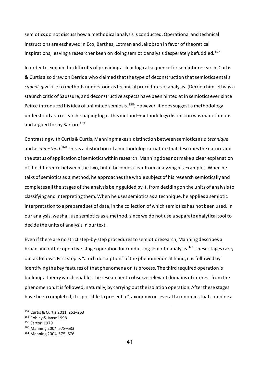semiotics do not discuss how a methodical analysis is conducted. Operational and technical instructions are eschewed in Eco, Barthes, Lotman and Jakobson in favor of theoretical inspirations, leaving a researcher keen on doing semiotic analysis desperately befuddled.<sup>157</sup>

In order to explain the difficulty of providing a clear logical sequence for semiotic research, Curtis & Curtis also draw on Derrida who claimed that the type of deconstruction that semiotics entails *cannot give* rise to methods understood as technical procedures of analysis. (Derrida himself was a staunch critic of Saussure, and deconstructive aspects have been hinted at in semiotics ever since Peirce introduced his idea of unlimited semiosis.<sup>158</sup>) However, it does suggest a methodology understood as a research-shaping logic. This method–methodology distinction was made famous and argued for by Sartori. 159

Contrasting with Curtis & Curtis, Manning makes a distinction between semiotics as *a technique* and as *a method*.<sup>160</sup> This is a distinction of a methodological nature that describes the nature and the status of application of semiotics within research. Manning does not make a clear explanation of the difference between the two, but it becomes clear from analyzing his examples. When he talks of semiotics as a method, he approaches the whole subject of his research semiotically and completes all the stages of the analysis being guided by it, from deciding on the units of analysis to classifying and interpreting them. When he uses semiotics as a technique, he applies a semiotic interpretation to a prepared set of data, in the collection of which semiotics has not been used. In our analysis, we shall use semiotics as a method, since we do not use a separate analytical tool to decide the units of analysis in our text.

Even if there are no strict step-by-step procedures to semiotic research, Manning describes a broad and rather open five-stage operation for conducting semiotic analysis. <sup>161</sup> These stages carry out as follows: First step is "a rich description" of the phenomenon at hand; it is followed by identifying the key features of that phenomena or its process. The third required operation is building a theory which enables the researcher to observe relevant domains of interest from the phenomenon. It is followed, naturally, by carrying out the isolation operation. After these stages have been completed, it is possible to present a "taxonomy or several taxonomies that combine a

<sup>157</sup> Curtis & Curtis 2011, 252–253 <sup>158</sup> Cobley & Jansz 1998 <sup>159</sup> Sartori 1979 <sup>160</sup> Manning 2004, 578–583 <sup>161</sup> Manning 2004, 575–576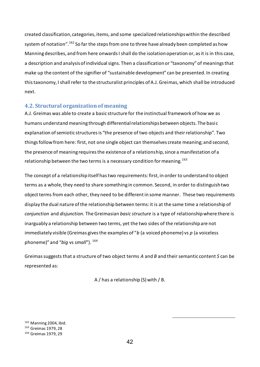created classification, categories, items, and some specialized relationships within the described system of notation".<sup>162</sup> So far the steps from one to three have already been completed as how Manning describes, and from here onwards I shall do the isolation operation or, as it is in this case, a description and analysis of individual signs. Then a classification or "taxonomy" of meanings that make up the content of the signifier of "sustainable development" can be presented. In creating this taxonomy, I shall refer to the structuralist principles of A.J. Greimas, which shall be introduced next.

# **4.2. Structural organization of meaning**

A.J. Greimas was able to create a basic structure for the instinctual framework of how we as humans understand meaning through differential relationships between objects. The basi c explanation of semiotic structures is "the presence of two objects and their relationship". Two things follow from here: first, not one single object can themselves create meaning; and second, the presence of meaning requires the existence of a relationship, since a manifestation of a relationship between the two terms is a necessary condition for meaning.<sup>163</sup>

The concept of a relationship itself has two requirements: first, in order to understand to object terms as a whole, they need to share something in common. Second, in order to distinguish two object terms from each other, they need to be different in some manner. These two requirements display the dual nature of the relationship between terms: it is at the same time a relationship of *conjunction* and *disjunction*. The Greimasian *basic structure* is a type of relationship where there is inarguably a relationship between two terms, yet the two sides of the relationship are not immediately visible (Greimas gives the examples of "*b* (a voiced phoneme) vs *p* (a voiceless phoneme)" and "*big* vs *small*"). <sup>164</sup>

Greimas suggests that a structure of two object terms *A* and *B* and their semantic content *S* can be represented as:

A / has a relationship (S) with / B.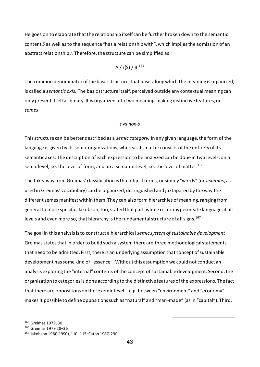He goes on to elaborate that the relationship itself can be further broken down to the semantic content *S* as well as to the sequence "has a relationship with", which implies the admission of an abstract relationship *r*. Therefore, the structure can be simplified as:

A / r(S) / B.<sup>165</sup>

The common denominator of the basic structure, that basis along which the meaning is organized, is called a *semantic axis.* The basic structure itself, perceived outside any contextual meaning can only present itself as binary. It is organized into two meaning-making distinctive features, or *semes*:

#### *s* vs *non-s*

This structure can be better described as a *semic category.* In any given language, the form of the language is given by its semic organizations, whereas its matter consists of the entirety of its semantic axes. The description of each expression to be analyzed can be done in two levels: on a semic level, i.e. the level of form; and on a semantic level, i.e. the level of matter.<sup>166</sup>

The takeaway from Greimas' classification is that object terms, or simply "words" (or *lexemes*, as used in Greimas' vocabulary) can be organized, distinguished and juxtaposed by the way the different semes manifest within them. They can also form hierarchies of meaning, ranging from general to more specific. Jakobson, too, stated that part-whole relations permeate language at all levels and even more so, that hierarchy is the fundamental structure of all signs. 167

The goal in this analysis is to construct a hierarchical *semic system of sustainable development*. Greimas states that in order to build such a system there are three methodological statements that need to be admitted. First, there is an underlying assumption that concept of sustainable development has some kind of "essence". Without this assumption we could not conduct an analysis exploring the "internal" contents of the concept of sustainable development. Second, the organization to categories is done according to the distinctive features of the expressions. The fact that there are oppositions on the lexemic level – e.g. between "environment" and "economy" – makes it possible to define oppositions such as "natural" and "man-made" (as in "capital"). Third,

<sup>165</sup> Greimas 1979, 30

<sup>166</sup> Greimas 1979 28–36

<sup>167</sup> Jakobson 1960(1990), 110–115; Caton 1987, 230.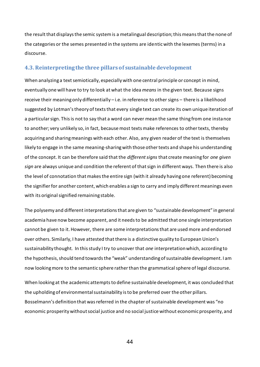the result that displays the semic system is a metalingual description; this means that the none of the categories or the semes presented in the systems are identic with the lexemes (terms) in a discourse.

# **4.3. Reinterpreting the three pillars of sustainable development**

When analyzing a text semiotically, especially with one central principle or concept in mind, eventually one will have to try to look at what the idea *means* in the given text. Because signs receive their meaning only differentially – i.e. in reference to other signs – there is a likelihood suggested by Lotman's theory of texts that every single text can create its own unique iteration of a particular sign. This is not to say that a word can never mean the same thing from one instance to another; very unlikely so, in fact, because most texts make references to other texts, thereby acquiring and sharing meanings with each other. Also, any given reader of the text is themselves likely to engage in the same meaning-sharing with those other texts and shape his understanding of the concept. It can be therefore said that the *different signs* that create meaning for *one given sign* are always unique and condition the referent of that sign in different ways. Then there is also the level of connotation that makes the entire sign (with it already having one referent) becoming the signifier for another content, which enables a sign to carry and imply different meanings even with its original signified remaining stable.

The polysemy and different interpretations that are given to "sustainable development" in general academia have now become apparent, and it needs to be admitted that one single interpretation cannot be given to it. However, there are some interpretations that are used more and endorsed over others. Similarly, I have attested that there is a distinctive quality to European Union's sustainability thought. In this study I try to uncover that *one* interpretation which, according to the hypothesis, should tend towards the "weak" understanding of sustainable development. I am now looking more to the semantic sphere rather than the grammatical sphere of legal discourse.

When looking at the academic attempts to define sustainable development, it was concluded that the upholding of environmental sustainability is to be preferred over the other pillars. Bosselmann's definition that was referred in the chapter of sustainable development was "no economic prosperity without social justice and no social justice without economic prosperity, and

44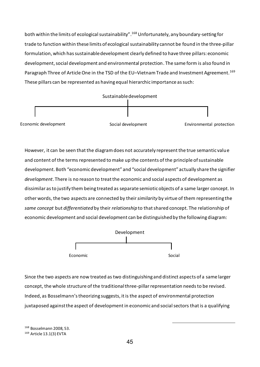both within the limits of ecological sustainability". <sup>168</sup> Unfortunately, any boundary-setting for trade to function within these limits of ecological sustainability cannot be found in the three-pillar formulation, which has sustainable development clearly defined to have three pillars: economic development, social development and environmental protection. The same form is also found in Paragraph Three of Article One in the TSD of the EU-Vietnam Trade and Investment Agreement.<sup>169</sup> These pillars can be represented as having equal hierarchic importance as such:



However, it can be seen that the diagram does not accurately represent the true semantic value and content of the terms represented to make up the contents of the principle of sustainable development. Both "economic development" and "social development" actually share the signifier *development*. There is no reason to treat the economic and social aspects of development as dissimilar as to justify them being treated as separate semiotic objects of a same larger concept. In other words, the two aspects are connected by their *similarity* by virtue of them representing the *same concept* but *differentiated* by their *relationship* to that shared concept. The relationship of economic development and social development can be distinguished by the following diagram:



Since the two aspects are now treated as two distinguishing and distinct aspects of a same larger concept, the whole structure of the traditional three-pillar representation needs to be revised. Indeed, as Bosselmann's theorizing suggests, it is the aspect of environmental protection juxtaposed against the aspect of development in economic and social sectors that is a qualifying

<sup>168</sup> Bosselmann 2008, 53. <sup>169</sup> Article 13.1(3) EVTA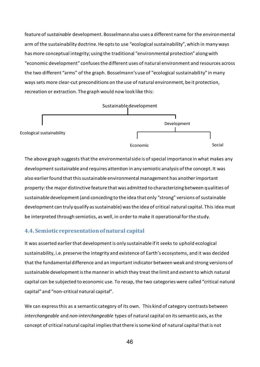feature of *sustainable* development. Bosselmann also uses a different name for the environmental arm of the sustainability doctrine. He opts to use "ecological sustainability", which in many ways has more conceptual integrity; using the traditional "environmental protection" along with "economic development" confuses the different uses of natural environment and resources across the two different "arms" of the graph. Bosselmann's use of "ecological sustainability" in many ways sets more clear-cut preconditions on the use of natural environment, be it protection, recreation or extraction. The graph would now look like this:



The above graph suggests that the environmental side is of special importance in what makes any development sustainable and requires attention in any semiotic analysis of the concept. It was also earlier found that this sustainable environmental management has another important property: the major distinctive feature that was admitted to characterizing between qualities of sustainable development (and conceding to the idea that only "strong" versions of sustainable development can truly qualify as sustainable) was the idea of critical natural capital. This idea must be interpreted through semiotics, as well, in order to make it operational for the study.

# **4.4. Semiotic representation of natural capital**

It was asserted earlier that development is only sustainable if it seeks to uphold ecological sustainability, i.e. preserve the integrity and existence of Earth's ecosystems, and it was decided that the fundamental difference and an important indicator between weak and strong versions of sustainable development is the manner in which they treat the limit and extent to which natural capital can be subjected to economic use. To recap, the two categories were called "critical natural capital" and "non-critical natural capital".

We can express this as a semantic category of its own. This kind of category contrasts between *interchangeable* and *non-interchangeable* types of natural capital on its semantic axis, as the concept of critical natural capital implies that there is some kind of natural capital that is not

46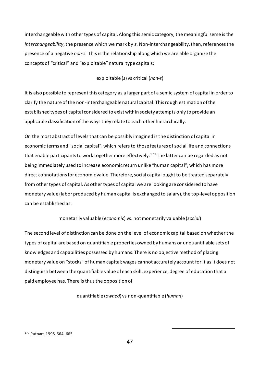interchangeable with other types of capital. Along this semic category, the meaningful seme is the *interchangeability*, the presence which we mark by *s.* Non-interchangeability, then, references the presence of a negative *non-s.* This is the relationship along which we are able organize the concepts of "critical" and "exploitable" natural type capitals:

## exploitable (*s*) vs critical (*non-s*)

It is also possible to represent this category as a larger part of a semic system of capital in order to clarify the nature of the non-interchangeable natural capital. This rough estimation of the established types of capital considered to exist within society attempts only to provide an applicable classification of the ways they relate to each other hierarchically.

On the most abstract of levels that can be possibly imagined is the distinction of capital in economic terms and "social capital", which refers to those features of social life and connections that enable participants to work together more effectively.<sup>170</sup> The latter can be regarded as not being immediately used to increase economic return unlike "human capital", which has more direct connotations for economic value. Therefore, social capital ought to be treated separately from other types of capital. As other types of capital we are looking are considered to have monetary value (labor produced by human capital is exchanged to salary), the top-level opposition can be established as:

# monetarily valuable (*economic*) vs. not monetarily valuable (*social*)

The second level of distinction can be done on the level of economic capital based on whether the types of capital are based on quantifiable properties owned by humans or unquantifiable sets of knowledges and capabilities possessed by humans. There is no objective method of placing monetary value on "stocks" of human capital; wages cannot accurately account for it as it does not distinguish between the quantifiable value of each skill, experience, degree of education that a paid employee has. There is thus the opposition of

quantifiable (*owned*) vs non-quantifiable (*human*)

47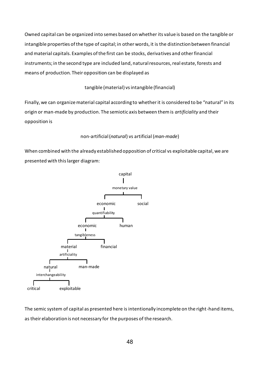Owned capital can be organized into semes based on whether its value is based on the tangible or intangible properties of the type of capital; in other words, it is the distinction between financial and material capitals. Examples of the first can be stocks, derivatives and other financial instruments; in the second type are included land, natural resources, real estate, forests and means of production. Their opposition can be displayed as

# tangible (material) vs intangible (financial)

Finally, we can organize material capital according to whether it is considered to be "natural" in its origin or man-made by production. The semiotic axis between them is *artificiality* and their opposition is

# non-artificial (*natural*) vs artificial (*man-made*)

When combined with the already established opposition of critical vs exploitable capital, we are presented with this larger diagram:



The semic system of capital as presented here is intentionally incomplete on the right-hand items, as their elaboration is not necessary for the purposes of the research.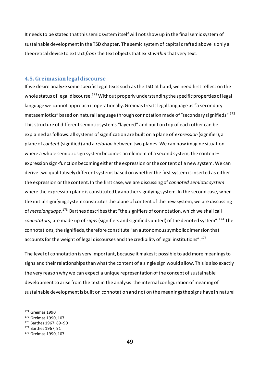It needs to be stated that this semic system itself will not show up in the final semic system of sustainable development in the TSD chapter. The semic system of capital drafted above is only a theoretical device to extract *from* the text objects that exist *within* that very text.

# **4.5. Greimasian legal discourse**

If we desire analyze some specific legal texts such as the TSD at hand, we need first reflect on the whole status of legal discourse.<sup>171</sup> Without properly understanding the specific properties of legal language we cannot approach it operationally. Greimas treats legal language as "a secondary metasemiotics" based on natural language through connotation made of "secondary signifieds". 172 This structure of different semiotic systems "layered" and built on top of each other can be explained as follows: all systems of signification are built on a plane of *expression* (signifier), a plane of *content* (signified) and a *relation* between two planes. We can now imagine situation where a whole semiotic sign system becomes an element of a second system, the content– expression sign-function becoming either the expression or the content of a new system. We can derive two qualitatively different systems based on whether the first system is inserted as either the expression or the content. In the first case, we are discussing of *connoted semiotic system* where the expression plane is constituted by another signifying system. In the second case, when the initial signifying system constitutes the plane of content of the new system, we are discussing of *metalanguage*. <sup>173</sup> Barthes describes that "the signifiers of connotation, which we shall call *connotators*, are made up of *signs* (signifiers and signifieds united) ofthe denoted system".<sup>174</sup> The connotations, the signifieds, therefore constitute "an autonomous symbolic dimension that accounts for the weight of legal discourses and the credibility of legal institutions".<sup>175</sup>

The level of connotation is very important, because it makes it possible to add more meanings to signs and their relationships than what the content of a single sign would allow. This is also exactly the very reason why we can expect a unique representation of the concept of sustainable development to arise from the text in the analysis: the internal configuration of meaning of sustainable development is built on connotation and not on the meanings the signs have in natural

<sup>171</sup> Greimas 1990 <sup>172</sup> Greimas 1990, 107 <sup>173</sup> Barthes 1967, 89–90 <sup>174</sup> Barthes 1967, 91 <sup>175</sup> Greimas 1990, 107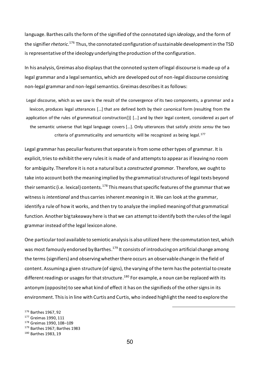language. Barthes calls the form of the signified of the connotated sign *ideology*, and the form of the signifier *rhetoric.*<sup>176</sup> Thus, the connotated configuration of sustainable development in the TSD is representative of the ideology underlying the production of the configuration.

In his analysis, Greimas also displays that the connoted system of legal discourse is made up of a legal grammar and a legal semantics, which are developed out of non-legal discourse consisting non-legal grammar and non-legal semantics. Greimas describes it as follows:

Legal discourse, which as we saw is the result of the convergence of its two components, a grammar and a lexicon, produces legal utterances […] that are defined both by their canonical form (resulting from the application of the rules of grammatical construction[)] […] and by their legal content, considered as part of the semantic universe that legal language covers […]. Only utterances that satisfy *stricto sensu* the two criteria of grammaticality and semanticity will be recognized as being legal.<sup>177</sup>

Legal grammar has peculiar features that separate is from some other types of grammar. It is explicit, tries to exhibit the very rules it is made of and attempts to appear as if leaving no room for ambiguity. Therefore it is not a natural but a *constructed grammar*. Therefore, we ought to take into account both the meaning implied by the grammatical structures of legal texts beyond their semantic (i.e. lexical) contents.<sup>178</sup> This means that specific features of the grammar that we witness is *intentional* and thus carries inherent *meaning* in it. We can look at the grammar, identify a rule of how it works, and then try to analyze the implied meaning of that grammatical function. Another big takeaway here is that we can attempt to identify both the rules of the legal grammar instead of the legal lexicon alone.

One particular tool available to semiotic analysis is also utilized here: the commutation test, which was most famously endorsed by Barthes.<sup>179</sup> It consists of introducing on artificial change among the terms (signifiers) and observing whether there occurs an observable change in the field of content. Assuming a given structure (of signs), the varying of the term has the potential to create different readings or usages for that structure.<sup>180</sup> For example, a noun can be replaced with its antonym (opposite) to see what kind of effect it has on the signifieds of the other signs in its environment. This is in line with Curtis and Curtis, who indeed highlight the need to explore the

<sup>176</sup> Barthes 1967, 92 <sup>177</sup> Greimas 1990, 111 <sup>178</sup> Greimas 1990, 108–109 <sup>179</sup> Barthes 1967; Barthes 1983 <sup>180</sup> Barthes 1983, 19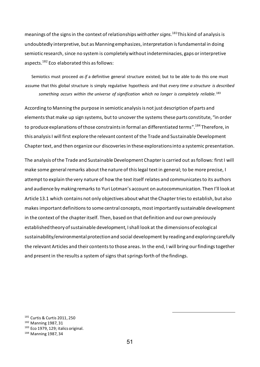meanings of the signs in the context of relationships *with other signs.* <sup>181</sup>This kind of analysisis undoubtedly interpretive, but as Manning emphasizes, interpretation is fundamental in doing semiotic research, since no system is completely without indeterminacies, gaps or interpretive aspects.<sup>182</sup> Eco elaborated this as follows:

Semiotics must proceed *as if* a definitive general structure existed; but to be able to do this one must assume that this global structure is simply regulative hypothesis and that *every time a structure is described something occurs within the universe of signification which no longer is completely reliable.*<sup>183</sup>

According to Manning the purpose in semiotic analysis is not just description of parts and elements that make up sign systems, but to uncover the systems these parts constitute, "in order to produce explanations of those constraints in formal an differentiated terms".<sup>184</sup> Therefore. in this analysis I will first explore the relevant content of the Trade and Sustainable Development Chapter text, and then organize our discoveries in these explorations into a systemic presentation.

The analysis of the Trade and Sustainable Development Chapter is carried out as follows: first I will make some general remarks about the nature of this legal text in general; to be more precise, I attempt to explain the very nature of how the text itself relates and communicates to its authors and audience by making remarks to Yuri Lotman's account on autocommunication. Then I'll look at Article 13.1 which contains not only objectives about what the Chapter tries to establish, but also makes important definitions to some central concepts, most importantly sustainable development in the context of the chapter itself. Then, based on that definition and our own previously established theory of sustainable development, I shall look at the dimensions of ecological sustainability/environmental protection and social development by reading and exploring carefully the relevant Articles and their contents to those areas. In the end, I will bring our findings together and present in the results a system of signs that springs forth of the findings.

 Curtis & Curtis 2011, 250 Manning 1987, 31 183 Eco 1979, 129; italics original. Manning 1987, 34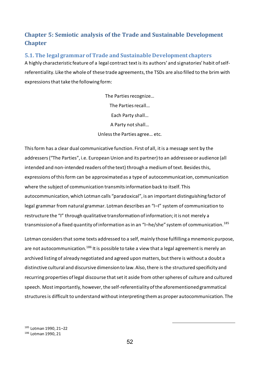# **Chapter 5: Semiotic analysis of the Trade and Sustainable Development Chapter**

# **5.1. The legal grammar of Trade and Sustainable Development chapters**

A highly characteristic feature of a legal contract text is its authors' and signatories' habit of selfreferentiality. Like the whole of these trade agreements, the TSDs are also filled to the brim with expressions that take the following form:

> The Parties recognize… The Parties recall… Each Party shall… A Party not shall… Unless the Parties agree… etc.

This form has a clear dual communicative function. First of all, it is a message sent by the addressers ("The Parties", i.e. European Union and its partner) to an addressee or audience (all intended and non-intended readers of the text) through a medium of text. Besides this, expressions of this form can be approximated as a type of autocommunication, communication where the subject of communication transmits information back to itself. This autocommunication, which Lotman calls "paradoxical", is an important distinguishing factor of legal grammar from natural grammar. Lotman describes an "I–I" system of communication to restructure the "I" through qualitative transformation of information; it is not merely a transmission of a fixed quantity of information as in an "I-he/she" system of communication.<sup>185</sup>

Lotman considers that some texts addressed to a self, mainly those fulfilling a mnemonic purpose, are not autocommunication.<sup>186</sup> It is possible to take a view that a legal agreement is merely an archived listing of already negotiated and agreed upon matters, but there is without a doubt a distinctive cultural and discursive dimension to law. Also, there is the structured specificity and recurring properties of legal discourse that set it aside from other spheres of culture and cultured speech. Most importantly, however, the self-referentiality of the aforementioned grammatical structures is difficult to understand without interpreting them as proper autocommunication. The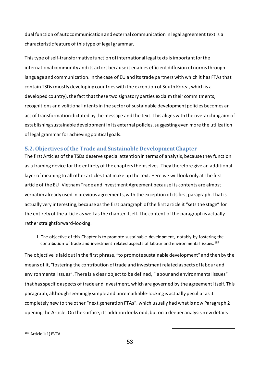dual function of autocommunication and external communication in legal agreement text is a characteristic feature of this type of legal grammar.

This type of self-transformative function of international legal texts is important for the international community and its actors because it enables efficient diffusion of norms through language and communication. In the case of EU and its trade partners with which it has FTAs that contain TSDs (mostly developing countries with the exception of South Korea, which is a developed country), the fact that these two signatory parties exclaim their commitments, recognitions and volitional intents in the sector of sustainable development policies becomes an act of transformation dictated by the message and the text. This aligns with the overarching aim of establishing sustainable development in its external policies, suggesting even more the utilization of legal grammar for achieving political goals.

# **5.2. Objectives of the Trade and Sustainable Development Chapter**

The first Articles of the TSDs deserve special attention in terms of analysis, because they function as a framing device for the entirety of the chapters themselves. They therefore give an additional layer of meaning to all other articles that make up the text. Here we will look only at the first article of the EU–Vietnam Trade and Investment Agreement because its contents are almost verbatim already used in previous agreements, with the exception of its first paragraph. That is actually very interesting, because as the first paragraph of the first article it "sets the stage" for the entirety of the article as well as the chapter itself. The content of the paragraph is actually rather straightforward-looking:

1. The objective of this Chapter is to promote sustainable development, notably by fostering the contribution of trade and investment related aspects of labour and environmental issues.<sup>187</sup>

The objective is laid out in the first phrase, "to promote sustainable development" and then by the means of it, "fostering the contribution of trade and investment related aspects of labour and environmental issues". There is a clear object to be defined, "labour and environmental issues" that has specific aspects of trade and investment, which are governed by the agreement itself. This paragraph, although seemingly simple and unremarkable-looking is actually peculiar as it completely new to the other "next generation FTAs", which usually had what is now Paragraph 2 opening the Article. On the surface, its addition looks odd, but on a deeper analysis new details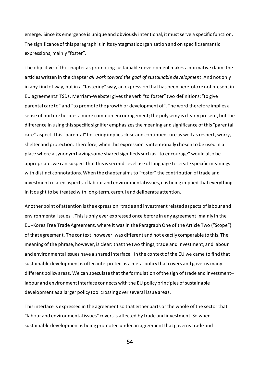emerge. Since its emergence is unique and obviously intentional, it must serve a specific function. The significance of this paragraph is in its syntagmatic organization and on specific semantic expressions, mainly "foster".

The objective of the chapter as promoting sustainable development makes a normative claim: the articles written in the chapter *all work toward the goal of sustainable development*. And not only in any kind of way, but in a "fostering" way, an expression that has been heretofore not present in EU agreements' TSDs. Merriam-Webster gives the verb "to foster" two definitions: "to give parental care to" and "to promote the growth or development of". The word therefore implies a sense of nurture besides a more common encouragement; the polysemy is clearly present, but the difference in using this specific signifier emphasizes the meaning and significance of this "parental care" aspect. This "parental" fostering implies close and continued care as well as respect, worry, shelter and protection. Therefore, when this expression is intentionally chosen to be used in a place where a synonym having some shared signifieds such as "to encourage" would also be appropriate, we can suspect that this is second-level use of language to create specific meanings with distinct connotations. When the chapter aims to "foster" the contribution of trade and investment related aspects of labour and environmental issues, it is being implied that everything in it ought to be treated with long-term, careful and deliberate attention.

Another point of attention is the expression "trade and investment related aspects of labour and environmental issues". This is only ever expressed once before in any agreement: mainly in the EU–Korea Free Trade Agreement, where it was in the Paragraph One of the Article Two ("Scope") of that agreement. The context, however, was different and not exactly comparable to this. The meaning of the phrase, however, is clear: that the two things, trade and investment, and labour and environmental issues have a shared interface. In the context of the EU we came to find that sustainable development is often interpreted as a meta-policy that covers and governs many different policy areas. We can speculate that the formulation of the sign of trade and investment– labour and environment interface connects with the EU policy principles of sustainable development as a larger policy tool crossing over several issue areas.

This interface is expressed in the agreement so that either parts or the whole of the sector that "labour and environmental issues" covers is affected by trade and investment. So when sustainable development is being promoted under an agreement that governs trade and

54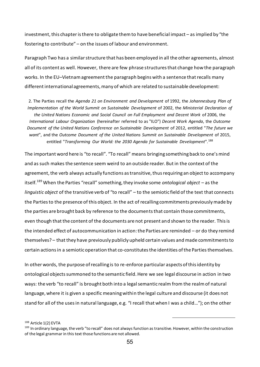investment, this chapter is there to obligate them to have beneficial impact – as implied by "the fostering to contribute" – on the issues of labour and environment.

Paragraph Two has a similar structure that has been employed in all the other agreements, almost all of its content as well. However, there are few phrase structures that change how the paragraph works. In the EU–Vietnam agreement the paragraph begins with a sentence that recalls many different international agreements, many of which are related to sustainable development:

2. The Parties recall the *Agenda 21 on Environment and Development* of 1992, the *Johannesburg Plan of Implementation of the World Summit on Sustainable Development* of 2002, the *Ministerial Declaration of the United Nations Economic and Social Council on Full Employment and Decent Work* of 2006, the *International Labour Organization* (hereinafter referred to as "ILO") *Decent Work Agenda*, the *Outcome Document of the United Nations Conference on Sustainable Development* of 2012, entitled "*The future we want*", and the *Outcome Document of the United Nations Summit on Sustainable Development* of 2015, entitled "*Transforming Our World: the 2030 Agenda for Sustainable Development*".<sup>188</sup>

The important word here is "to recall". "To recall" means bringing something back to one's mind and as such makes the sentence seem weird to an outside reader. But in the context of the agreement, the verb always actually functions as transitive, thus requiring an object to accompany itself.<sup>189</sup> When the Parties "recall" something, they invoke some *ontological object* – as the *linguistic object* of the transitive verb of "to recall" – to the semiotic field of the text that connects the Parties to the presence of this object. In the act of recalling commitments previously made by the parties are brought back by reference to the documents that contain those commitments, even though that the content of the documents are not present and shown to the reader. This is the intended effect of autocommunication in action: the Parties are reminded – or do they remind themselves? – that they have previously publicly upheld certain values and made commitments to certain actions in a semiotic operation that co-constitutes the identities of the Parties themselves.

In other words, the purpose of recalling is to re-enforce particular aspects of this identity by ontological objects summoned to the semantic field. Here we see legal discourse in action in two ways: the verb "to recall" is brought both into a legal semantic realm from the realm of natural language, where it is given a specific meaning within the legal culture and discourse (it does not stand for all of the uses in natural language, e.g. "I recall that when I was a child…"); on the other

<sup>188</sup> Article 1(2) EVTA

<sup>189</sup> In ordinary language, the verb "to recall" does not always function as transitive. However, within the construction of the legal grammar in this text those functions are not allowed.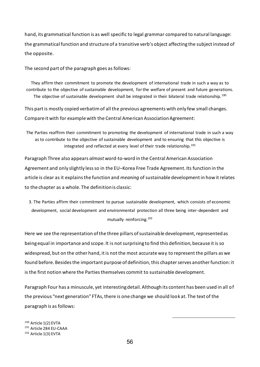hand, its grammatical function is as well specific to legal grammar compared to natural language: the grammatical function and structure of a transitive verb's object affecting the subject instead of the opposite.

The second part of the paragraph goes as follows:

They affirm their commitment to promote the development of international trade in such a way as to contribute to the objective of sustainable development, for the welfare of present and future generations. The objective of sustainable development shall be integrated in their bilateral trade relationship.<sup>190</sup>

This part is mostly copied verbatim of all the previous agreements with only few small changes. Compare it with for example with the Central American Association Agreement:

The Parties reaffirm their commitment to promoting the development of international trade in such a way as to contribute to the objective of sustainable development and to ensuring that this objective is integrated and reflected at every level of their trade relationship.<sup>191</sup>

Paragraph Three also appears *almost* word-to-word in the Central American Association Agreement and only slightly less so in the EU–Korea Free Trade Agreement. Its function in the article is clear as it explains the function and *meaning* of sustainable development in how it relates to the chapter as a whole. The definition is classic:

3. The Parties affirm their commitment to pursue sustainable development, which consists of economic development, social development and environmental protection all three being inter-dependent and mutually reinforcing.<sup>192</sup>

Here we see the representation of the three pillars of sustainable development, represented as being equal in importance and scope. It is not surprising to find this definition, because it is so widespread, but on the other hand, it is not the most accurate way to represent the pillars as we found before. Besides the important purpose of definition, this chapter serves another function: it is the first notion where the Parties themselves commit to sustainable development.

Paragraph Four has a minuscule, yet interesting detail. Although its content has been used in all of the previous "next generation" FTAs, there is one change we should look at. The text of the paragraph is as follows:

-

<sup>190</sup> Article 1(2) EVTA <sup>191</sup> Article 284 EU-CAAA <sup>192</sup> Article 1(3) EVTA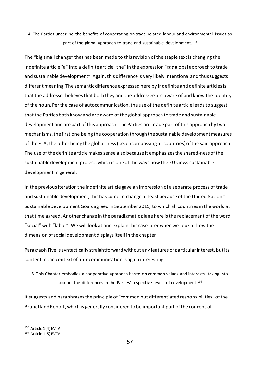4. The Parties underline the benefits of cooperating on trade-related labour and environmental issues as part of the global approach to trade and sustainable development.<sup>193</sup>

The "big small change" that has been made to this revision of the staple text is changing the indefinite article "a" into a definite article "the" in the expression "*the* global approach to trade and sustainable development". Again, this difference is very likely intentional and thus suggests different meaning. The semantic difference expressed here by indefinite and definite articles is that the addresser believes that both they and the addressee are aware of and know the identity of the noun. Per the case of autocommunication, the use of the definite article leads to suggest that the Parties both know and are aware of the global approach to trade and sustainable development and are part of this approach. The Parties are made part of this approach by two mechanisms, the first one being the cooperation through the sustainable development measures of the FTA, the other being the global-ness (i.e. encompassing all countries) of the said approach. The use of the definite article makes sense also because it emphasizes the shared-ness of the sustainable development project, which is one of the ways how the EU views sustainable development in general.

In the previous iteration the indefinite article gave an impression of a separate process of trade and sustainable development, this has come to change at least because of the United Nations' Sustainable Development Goals agreed in September 2015, to which all countries in the world at that time agreed. Another change in the paradigmatic plane here is the replacement of the word "social" with "labor". We will look at and explain this case later when we look at how the dimension of social development displays itself in the chapter.

Paragraph Five is syntactically straightforward without any features of particular interest, but its content in the context of autocommunication is again interesting:

5. This Chapter embodies a cooperative approach based on common values and interests, taking into account the differences in the Parties' respective levels of development.<sup>194</sup>

It suggests and paraphrases the principle of "common but differentiated responsibilities" of the Brundtland Report, which is generally considered to be important part of the concept of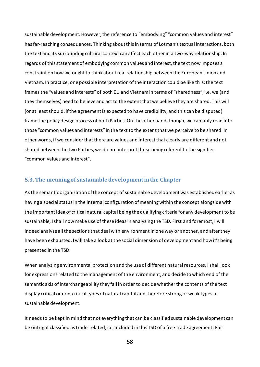sustainable development. However, the reference to "embodying" "common values and interest" has far-reaching consequences. Thinking about this in terms of Lotman's textual interactions, both the text and its surrounding cultural context can affect each other in a two-way relationship. In regards of this statement of embodying common values and interest, the text now imposes a constraint on how we ought to think about real relationship between the European Union and Vietnam. In practice, one possible interpretation of the interaction could be like this: the text frames the "values and interests" of both EU and Vietnam in terms of "sharedness"; i.e. we (and they themselves) need to believe and act to the extent that we believe they are shared. This will (or at least should, if the agreement is expected to have credibility, and this can be disputed) frame the policy design process of both Parties. On the other hand, though, we can only read into those "common values and interests" in the text to the extent that we perceive to be shared. In other words, if we consider that there are values and interest that clearly are different and not shared between the two Parties, we do not interpret those being referent to the signifier "common values and interest".

## **5.3. The meaning of sustainable development in the Chapter**

As the semantic organization of the concept of sustainable development was established earlier as having a special status in the internal configuration of meaning within the concept alongside with the important idea of critical natural capital being the qualifying criteria for any development to be sustainable, I shall now make use of these ideas in analyzing the TSD. First and foremost, I will indeed analyze all the sections that deal with environment in one way or another, and after they have been exhausted, I will take a look at the social dimension of development and how it's being presented in the TSD.

When analyzing environmental protection and the use of different natural resources, I shall look for expressions related to the management of the environment, and decide to which end of the semantic axis of interchangeability they fall in order to decide whether the contents of the text display critical or non-critical types of natural capital and therefore strong or weak types of sustainable development.

It needs to be kept in mind that not everything that can be classified sustainable development can be outright classified as trade-related, i.e. included in this TSD of a free trade agreement. For

58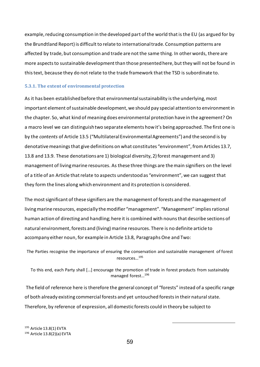example, reducing consumption in the developed part of the world that is the EU (as argued for by the Brundtland Report) is difficult to relate to international trade. Consumption patterns are affected by trade, but consumption and trade are not the same thing. In other words, there are more aspects to sustainable development than those presented here, but they will not be found in this text, because they do not relate to the trade framework that the TSD is subordinate to.

#### **5.3.1. The extent of environmental protection**

As it has been established before that environmental sustainability is the underlying, most important element of sustainable development, we should pay special attention to environment in the chapter. So, what kind of meaning does environmental protection have in the agreement? On a macro level we can distinguish two separate elements how it's being approached. The first one is by the *contents* of Article 13.5 ("Multilateral Environmental Agreements") and the second is by denotative meanings that give definitions on what constitutes "environment", from Articles 13.7, 13.8 and 13.9. These denotations are 1) biological diversity, 2) forest management and 3) management of living marine resources. As these three things are the main signifiers on the level of a title of an Article that relate to aspects understood as "environment", we can suggest that they form the lines along which environment and its protection is considered.

The most significant of these signifiers are the management of forests and the management of living marine resources, especially the modifier "management". "Management" implies rational human action of directing and handling; here it is combined with nouns that describe sections of natural environment, forests and (living) marine resources. There is no definite article to accompany either noun, for example in Article 13.8, Paragraphs One and Two:

The Parties recognise the importance of ensuring the conservation and sustainable management of forest resources…<sup>195</sup>

To this end, each Party shall […] encourage the promotion of trade in forest products from sustainably managed forest…<sup>196</sup>

The field of reference here is therefore the general concept of "forests" instead of a specific range of both already existing commercial forests and yet untouched forests in their natural state. Therefore, by reference of expression, all domestic forests could in theory be subject to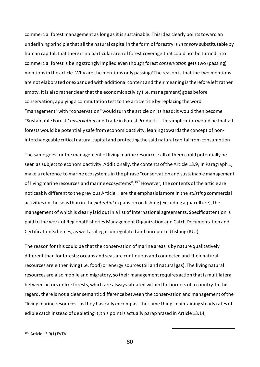commercial forest management as long as it is sustainable. This idea clearly points toward an underlining principle that all the natural capital in the form of forestry is *in theory* substitutable by human capital; that there is no particular area of forest coverage that could not be turned into commercial forest is being strongly implied even though forest *conservation* gets two (passing) mentions in the article. Why are the mentions only passing? The reason is that the two mentions are not elaborated or expanded with additional content and their meaning is therefore left rather empty. It is also rather clear that the economic activity (i.e. management) goes before conservation; applying a commutation test to the article title by replacing the word "management" with "conservation" would turn the article on its head: it would then become "Sustainable Forest *Conservation* and Trade in Forest Products". This implication would be that all forests would be potentially safe from economic activity, leaning towards the concept of noninterchangeable critical natural capital and protecting the said natural capital from consumption.

The same goes for the management of living marine resources: all of them could potentially be seen as subject to economic activity. Additionally, the contents of the Article 13.9, in Paragraph 1, make a reference to marine ecosystems in the phrase "conservation and sustainable management of living marine resources and marine ecosystems".<sup>197</sup> However, the contents of the article are noticeably different to the previous Article. Here the emphasis is more in the *existing* commercial activities on the seas than in the *potential* expansion on fishing (excluding aquaculture), the management of which is clearly laid out in a list of international agreements. Specific attention is paid to the work of Regional Fisheries Management Organization and Catch Documentation and Certification Schemes, as well as illegal, unregulated and unreported fishing (IUU).

The reason for this could be that the conservation of marine areas is by nature qualitatively different than for forests: oceans and seas are continuous and connected and their natural resources are either living (i.e. food) or energy sources (oil and natural gas). The living natural resources are also mobile and migratory, so their management requires action that is multilateral between actors unlike forests, which are always situated within the borders of a country. In this regard, there is not a clear semantic difference between the conservation and management of the "living marine resources" as they basically encompass the same thing: maintaining steady rates of edible catch instead of depleting it; this point is actually paraphrased in Article 13.14,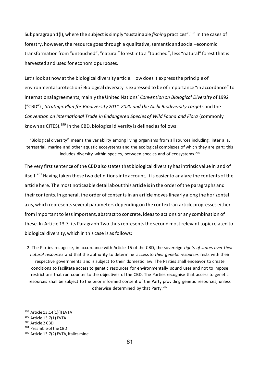Subparagraph 1(l), where the subject is simply "sustainable *fishing* practices".<sup>198</sup> In the cases of forestry, however, the resource goes through a qualitative, semantic and social–economic transformation from "untouched", "natural" forest into a "touched", less "natural" forest that is harvested and used for economic purposes.

Let's look at now at the biological diversity article. How does it express the principle of environmental protection? Biological diversity is expressed to be of importance "in accordance" to international agreements, mainly the United Nations' *Convention on Biological Diversity* of 1992 ("CBD") , *Strategic Plan for Biodiversity 2011-2020 and the Aichi Biodiversity Targets* and the *Convention on International Trade in Endangered Species of Wild Fauna and Flora* (commonly known as CITES).<sup>199</sup> In the CBD, biological diversity is defined as follows:

"Biological diversity" means the variability among living organisms from all sources including, inter alia, terrestrial, marine and other aquatic ecosystems and the ecological complexes of which they are part: this includes diversity within species, between species and of ecosystems.<sup>200</sup>

The very first sentence of the CBD also states that biological diversity has intrinsic value in and of itself.<sup>201</sup> Having taken these two definitions into account, it is easier to analyze the contents of the article here. The most noticeable detail about this article is in the order of the paragraphs and their contents. In general, the order of contents in an article moves linearly along the horizontal axis, which represents several parameters depending on the context: an article progresses either from important to less important, abstract to concrete, ideas to actions or any combination of these. In Article 13.7, its Paragraph Two thus represents the second most relevant topic related to biological diversity, which in this case is as follows:

2. The Parties recognise, in accordance with Article 15 of the CBD, the sovereign *rights of states over their natural resources* and that the authority to determine access to *their genetic resources* rests with their respective governments and is subject to their domestic law. The Parties shall endeavor to create conditions to facilitate access to genetic resources for environmentally sound uses and not to impose restrictions that run counter to the objectives of the CBD. The Parties recognise that access to genetic resources shall be subject to the prior informed consent of the Party providing genetic resources, unless otherwise determined by that Party.<sup>202</sup>

 Article 13.14(1)(l) EVTA Article 13.7(1) EVTA Article 2 CBD 201 Preamble of the CBD Article 13.7(2) EVTA, italics mine.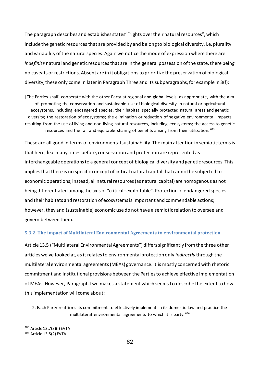The paragraph describes and establishes states' "rights over their natural resources", which include the genetic resources that are provided by and belong to biological diversity, i.e. plurality and variability of the natural species. Again we notice the mode of expression where there are *indefinite* natural and genetic resources that are in the general possession of the state, there being no caveats or restrictions. Absent are in it obligations to prioritize the preservation of biological diversity; these only come in later in Paragraph Three and its subparagraphs, for example in 3(f):

[The Parties shall] cooperate with the other Party at regional and global levels, as appropriate, with the aim of promoting the conservation and sustainable use of biological diversity in natural or agricultural ecosystems, including endangered species, their habitat, specially protected natural areas and genetic diversity; the restoration of ecosystems; the elimination or reduction of negative environmental impacts resulting from the use of living and non-living natural resources, including ecosystems; the access to genetic resources and the fair and equitable sharing of benefits arising from their utilization.<sup>203</sup>

These are all good in terms of environmental sustainability. The main attention in semiotic terms is that here, like many times before, conservation and protection are represented as interchangeable operations to a general concept of biological diversity and genetic resources. This implies that there is no specific concept of critical natural capital that cannot be subjected to economic operations; instead, all natural resources (as natural capital) are homogenous as not being differentiated among the axis of "critical–exploitable". Protection of endangered species and their habitats and restoration of ecosystems is important and commendable actions; however, they and (sustainable) economic use do not have a semiotic relation to oversee and govern between them.

#### **5.3.2. The impact of Multilateral Environmental Agreements to environmental protection**

Article 13.5 ("Multilateral Environmental Agreements") differs significantly from the three other articles we've looked at, as it relates to environmental protection only *indirectly* through the multilateral environmental agreements (MEAs) governance. It is mostly concerned with rhetoric commitment and institutional provisions between the Parties to achieve effective implementation of MEAs. However, Paragraph Two makes a statement which seems to describe the extent to how this implementation will come about:

2. Each Party reaffirms its commitment to effectively implement in its domestic law and practice the multilateral environmental agreements to which it is party.<sup>204</sup>

-

<sup>203</sup> Article 13.7(3)(f) EVTA <sup>204</sup> Article 13.5(2) EVTA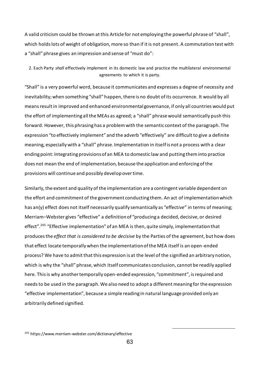A valid criticism could be thrown at this Article for not employing the powerful phrase of "shall", which holds lots of weight of obligation, more so than if it is not present. A commutation test with a "shall" phrase gives an impression and sense of "must do":

2. Each Party *shall* effectively implement in its domestic law and practice the multilateral environmental agreements to which it is party.

"Shall" is a very powerful word, because it communicates and expresses a degree of necessity and inevitability; when something "shall" happen, there is no doubt of its occurrence. It would by all means result in improved and enhanced environmental governance, if only all countries would put the effort of implementing all the MEAs as agreed; a "shall" phrase would semantically push this forward. However, this phrasing has a problem with the semantic context of the paragraph. The expression "to effectively implement" and the adverb "effectively" are difficult to give a definite meaning, especially with a "shall" phrase. Implementation in itselfis not a process with a clear ending point: Integrating provisions of an MEA to domestic law and putting them into practice does not mean the end of implementation, because the application and enforcing of the provisions will continue and possibly developover time.

Similarly, the extent and quality of the implementation are a contingent variable dependent on the effort and commitment of the government conducting them. An act of implementation which has an(y) effect does not itself necessarily qualify semantically as "effect*ive*" in terms of meaning; Merriam–Webster gives "effective" a definition of "producing a decided, decisive, or desired effect".<sup>205</sup> "Effective implementation" of an MEA is then, quite simply, implementation that produces the *effect that is considered to be decisive* by the Parties of the agreement, but how does that effect locate temporally when the implementation of the MEA itself is an open-ended process? We have to admit that this expression is at the level of the signified an arbitrary notion, which is why the "shall" phrase, which itself communicates conclusion, cannot be readily applied here. This is why another temporally open-ended expression, "commitment", is required and needs to be used in the paragraph. We also need to adopt a different meaning for the expression "effective implementation", because a simple reading in natural language provided only an arbitrarily defined signified.

<sup>205</sup> https://www.merriam-webster.com/dictionary/effective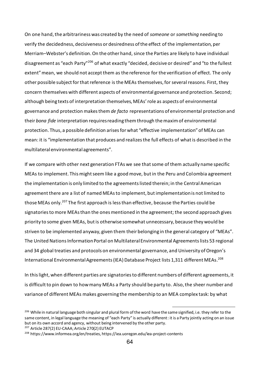On one hand, the arbitrariness was created by the need of *someone* or *something* needing to verify the decidedness, decisiveness or desiredness of the effect of the implementation, per Merriam–Webster's definition. On the other hand, since the Parties are likely to have individual disagreement as "each Party"<sup>206</sup> of what exactly "decided, decisive or desired" and "to the fullest extent" mean, we should not accept them as the reference for the verification of effect. The only other possible subject for that reference is the MEAs themselves, for several reasons. First, they concern themselves with different aspects of environmental governance and protection. Second; although being texts of interpretation themselves, MEAs' role as aspects of environmental governance and protection makes them *de facto* representations of environmental protection and their *bona fide* interpretation requires reading them through the maxim of environmental protection. Thus, a possible definition arises for what "effective implementation" of MEAs can mean: it is "implementation that produces and realizes the full effects of what is described in the multilateral environmental agreements".

If we compare with other next generation FTAs we see that some of them actually name specific MEAs to implement. This might seem like a good move, but in the Peru and Colombia agreement the implementation is only limited to the agreements listed therein; in the Central American agreement there are a list of named MEAs to implement, but implementation is not limited to those MEAs only.<sup>207</sup> The first approach is less than effective, because the Parties could be signatories to more MEAs than the ones mentioned in the agreement; the second approach gives priority to some given MEAs, but is otherwise somewhat unnecessary, because they would be striven to be implemented anyway, given them their belonging in the general category of "MEAs". The United Nations Information Portal on Multilateral Environmental Agreements lists 53 regional and 34 global treaties and protocols on environmental governance, and University of Oregon's International Environmental Agreements (IEA) Database Project lists 1,311 different MEAs. 208

In this light, when different parties are signatories to different numbers of different agreements, it is difficult to pin down to how many MEAs a Party should be party to. Also, the sheer number and variance of different MEAs makes governing the membership to an MEA complex task: by what

-

<sup>207</sup> Article 287(2) EU-CAAA; Article 270(2) EUTACP

<sup>&</sup>lt;sup>206</sup> While in natural language both singular and plural form of the word have the same signified, i.e. they refer to the same content, in legal language the meaning of "each Party" is actually different: it is a Party jointly acting on an issue but on its own accord and agency, without being intervened by the other party.

<sup>208</sup> https://www.informea.org/en/treaties, https://iea.uoregon.edu/iea-project-contents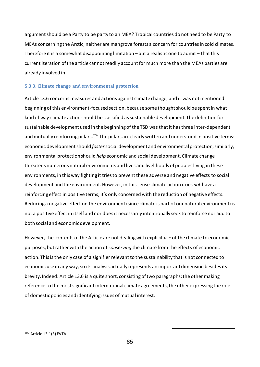argument should be a Party to be party to an MEA? Tropical countries do not need to be Party to MEAs concerning the Arctic; neither are mangrove forests a concern for countries in cold climates. Therefore it is a somewhat disappointing limitation – but a realistic one to admit – that this current iteration of the article cannot readily account for much more than the MEAs parties are already involved in.

#### **5.3.3. Climate change and environmental protection**

Article 13.6 concerns measures and actions against climate change, and it was not mentioned beginning of this environment-focused section, because some thought should be spent in what kind of way climate action should be classified as sustainable development. The definition for sustainable development used in the beginning of the TSD was that it has three inter-dependent and mutually reinforcing pillars.<sup>209</sup> The pillars are clearly written and understood in positive terms: economic development should *foster*social development and environmental protection; similarly, environmental protection should *help* economic and social development. Climate change threatens numerous natural environments and lives and livelihoods of peoples living in these environments, in this way fighting it tries to prevent these adverse and negative effects to social development and the environment. However, in this sense climate action does *not* have a reinforcing effect in positive terms; it's only concerned with the reduction of negative effects. Reducing a negative effect on the environment (since climate is part of our natural environment) is not a positive effect in itself and nor does it necessarily intentionally seek to reinforce nor add to both social and economic development.

However, the contents of the Article are not dealing with explicit *use* of the climate to economic purposes, but rather with the action of *conserving* the climate from the effects of economic action. This is the only case of a signifier relevant to the sustainability that is not connected to economic use in any way, so its analysis actually represents an important dimension besides its brevity. Indeed: Article 13.6 is a quite short, consisting of two paragraphs; the other making reference to the most significant international climate agreements, the other expressing the role of domestic policies and identifying issues of mutual interest.

65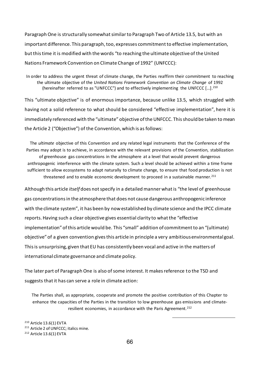Paragraph One is structurally somewhat similar to Paragraph Two of Article 13.5, but with an important difference. This paragraph, too, expresses commitment to effective implementation, but this time it is modified with the words "to reaching the ultimate objective of the United Nations Framework Convention on Climate Change of 1992" (UNFCCC):

In order to address the urgent threat of climate change, the Parties reaffirm their commitment to reaching the ultimate objective of the *United Nations Framework Convention on Climate Change* of 1992 (hereinafter referred to as "UNFCCC") and to effectively implementing the UNFCCC […]. 210

This "ultimate objective" is of enormous importance, because unlike 13.5, which struggled with having not a solid reference to what should be considered "effective implementation", here it is immediately referenced with the "ultimate" objective of the UNFCCC. This should be taken to mean the Article 2 ("Objective") of the Convention, which is as follows:

The *ultimate* objective of this Convention and any related legal instruments that the Conference of the Parties may adopt is to achieve, in accordance with the relevant provisions of the Convention, stabilization of greenhouse gas concentrations in the atmosphere at a level that would prevent dangerous anthropogenic interference with the climate system. Such a level should be achieved within a time frame sufficient to allow ecosystems to adapt naturally to climate change, to ensure that food production is not threatened and to enable economic development to proceed in a sustainable manner. $^{211}$ 

Although this article *itself* does not specify in a detailed manner what is "the level of greenhouse gas concentrations in the atmosphere that does not cause dangerous anthropogenic inference with the climate system", it has been by now established by climate science and the IPCC climate reports. Having such a clear objective gives essential clarity to what the "effective implementation" of this article would be. This "small" addition of commitment to an "(ultimate) objective" of a given convention gives this article in principle a very ambitious environmental goal. This is unsurprising, given that EU has consistently been vocal and active in the matters of international climate governance and climate policy.

The later part of Paragraph One is also of some interest. It makes reference to the TSD and suggests that it has can serve a role in climate action:

The Parties shall, as appropriate, cooperate and promote the positive contribution of this Chapter to enhance the capacities of the Parties in the transition to low greenhouse gas emissions and climateresilient economies, in accordance with the Paris Agreement.<sup>212</sup>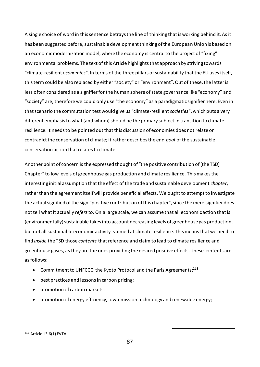A single choice of word in this sentence betrays the line of thinking that is working behind it. As it has been suggested before, sustainable development thinking of the European Union is based on an economic modernization model, where the economy is central to the project of "fixing" environmental problems. The text of this Article highlights that approach by striving towards "climate-resilient *economies*". In terms of the three pillars of sustainability that the EU uses itself, this term could be also replaced by either "society" or "environment". Out of these, the latter is less often considered as a signifier for the human sphere of state governance like "economy" and "society" are, therefore we could only use "the economy" as a paradigmatic signifier here. Even in that scenario the commutation test would give us "climate-resilient *societies*", which puts a very different emphasis to what (and whom) should be the primary subject in transition to climate resilience. It needs to be pointed out that this discussion of economies does not relate or contradict the conservation of climate; it rather describes the end *goal* of the sustainable conservation action that relates to climate.

Another point of concern is the expressed thought of "the positive contribution of [the TSD] Chapter" to low levels of greenhouse gas production and climate resilience. This makes the interesting initial assumption that the effect of the trade and sustainable development *chapter*, rather than the agreement itself will provide beneficial effects. We ought to attempt to investigate the actual signified of the sign "positive contribution of this chapter", since the mere signifier does not tell what it actually *refers to*. On a large scale, we can assume that all economic action that is (environmentally) sustainable takes into account decreasing levels of greenhouse gas production, but not all sustainable economic activity is aimed at climate resilience. This means that we need to find *inside* the TSD those *contents* that reference and claim to lead to climate resilience and greenhouse gases, as they are the ones providing the desired positive effects. These contents are as follows:

- Commitment to UNFCCC, the Kyoto Protocol and the Paris Agreements; $^{213}$
- best practices and lessons in carbon pricing;
- promotion of carbon markets;
- promotion of energy efficiency, low-emission technology and renewable energy;

<sup>213</sup> Article 13.6(1) EVTA

67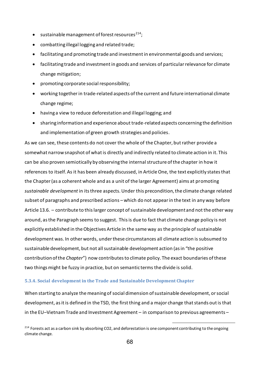- sustainable management of forest resources<sup>214</sup>;
- combatting illegal logging and related trade;
- facilitating and promoting trade and investment in environmental goods and services;
- facilitating trade and investment in goods and services of particular relevance for climate change mitigation;
- promoting corporate social responsibility;
- working togetherin trade-related aspects of the current and future international climate change regime;
- having a view to reduce deforestation and illegal logging; and
- sharing information and experience about trade-related aspects concerning the definition and implementation of green growth strategies and policies.

As we can see, these contents do not cover the whole of the Chapter, but rather provide a somewhat narrow snapshot of what is directly and indirectly related to climate action in it. This can be also proven semiotically by observing the internal structure of the chapter in how it references to itself. As it has been already discussed, in Article One, the text explicitly states that the Chapter (as a coherent whole and as a unit of the larger Agreement) aims at promoting *sustainable development* in its three aspects. Under this precondition, the climate change related subset of paragraphs and prescribed actions – which do not appear in the text in any way before Article 13.6. – contribute to this larger concept of sustainable development and not the other way around, as the Paragraph seems to suggest. This is due to fact that climate change policy is not explicitly established in the Objectives Article in the same way as the principle of sustainable development was. In other words, under these circumstances all climate action is subsumed to sustainable development, but not all sustainable development action (as in "the positive contribution of the *Chapter*") now contributes to climate policy. The exact boundaries of these two things might be fuzzy in practice, but on semantic terms the divide is solid.

#### **5.3.4. Social development in the Trade and Sustainable Development Chapter**

When starting to analyze the meaning of social dimension of sustainable development, or social development, as it is defined in the TSD, the first thing and a major change that stands out is that in the EU–Vietnam Trade and Investment Agreement – in comparison to previous agreements –

 $214$  Forests act as a carbon sink by absorbing CO2, and deforestation is one component contributing to the ongoing climate change.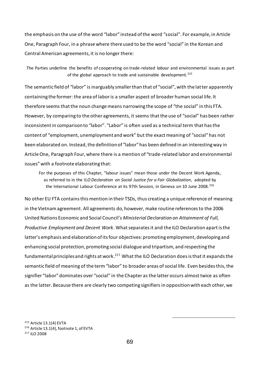the emphasis on the use of the word "labor" instead of the word "social". For example, in Article One, Paragraph Four, in a phrase where there used to be the word "social" in the Korean and Central American agreements, it is no longer there:

The Parties underline the benefits of cooperating on trade-related *labour* and environmental issues as part of the global approach to trade and sustainable development.<sup>215</sup>

The semantic field of "labor" is inarguably smaller than that of "social", with the latter apparently containing the former: the area of labor is a smaller aspect of broader human social life. It therefore seems that the noun change means narrowing the scope of "the social" in this FTA. However, by comparing to the other agreements, it seems that the use of "social" has been rather inconsistent in comparison to "labor". "Labor" is often used as a technical term that has the content of "employment, unemployment and work" but the exact meaning of "social" has not been elaborated on. Instead, the definition of "labor" has been defined in an interesting way in Article One, Paragraph Four, where there is a mention of "trade-related labor and environmental issues" with a footnote elaborating that:

For the purposes of this Chapter, "labour issues" mean those under the Decent Work Agenda, as referred to in the *ILO Declaration on Social Justice for a Fair Globalization*, adopted by the International Labour Conference at its 97th Session, in Geneva on 10 June 2008. <sup>216</sup>

No other EU FTA contains this mention in their TSDs, thus creating a unique reference of meaning in the Vietnam agreement. All agreements do, however, make routine references to the 2006 United Nations Economic and Social Council's *Ministerial Declaration on Attainment of Full, Productive Employment and Decent Work*. What separates it and the ILO Declaration apart is the latter's emphasis and elaboration of its four objectives: promoting employment, developing and enhancing social protection, promoting social dialogue and tripartism, and respecting the fundamental principles and rights at work.<sup>217</sup> What the ILO Declaration does is that it expands the semantic field of meaning of the term "labor" to broader areas of social life. Even besides this, the signifier "labor" dominates over "social" in the Chapter as the latter occurs almost twice as often as the latter. Because there are clearly two competing signifiers in opposition with each other, we

<sup>215</sup> Article 13.1(4) EVTA <sup>216</sup> Article 13.1(4), footnote 1, of EVTA <sup>217</sup> ILO 2008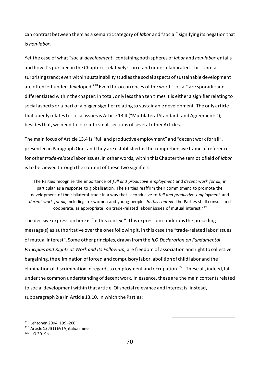can contrast between them as a semantic category of *labor* and "social" signifying its negation that is *non-labor*.

Yet the case of what "social *development*" containing both spheres of *labor* and *non-labor* entails and how it's pursued in the Chapter is relatively scarce and under-elaborated. This is not a surprising trend; even within sustainability studies the social aspects of sustainable development are often left under-developed.<sup>218</sup> Even the occurrences of the word "social" are sporadic and differentiated within the chapter: in total, only less than ten times it is either a signifier relating to social aspects or a part of a bigger signifier relating to sustainable development. The only article that openly relates to social issues is Article 13.4 ("Multilateral Standards and Agreements"); besides that, we need to look into small sections of several other Articles.

The main focus of Article 13.4 is "full and productive employment" and "decent work for all", presented in Paragraph One, and they are established as the comprehensive frame of reference for other*trade-related* labor issues. In other words, within this Chapter the semiotic field of *labor* is to be viewed through the content of these two signifiers:

The Parties recognise the importance of *full and productive employment* and *decent work for all*, in particular as a response to globalisation. The Parties reaffirm their commitment to promote the development of their bilateral trade in a way that is conducive to *full and productive employment* and *decent work for all*, including for women and young people. *In this context*, the Parties shall consult and cooperate, as appropriate, on trade-related labour issues of mutual interest.<sup>219</sup>

The decisive expression here is "in this context". This expression conditions the preceding message(s) as authoritative over the ones following it, in this case the "trade-related labor issues of mutual interest". Some other principles, drawn from the *ILO Declaration on Fundamental Principles and Rights at Work and its Follow-up*, are freedom of association and right to collective bargaining, the elimination of forced and compulsory labor, abolition of child labor and the elimination of discrimination in regards to employment and occupation.<sup>220</sup> These all, indeed, fall under the common understanding of decent work. In essence, these are the main contents related to social development within that article. Of special relevance and interest is, instead, subparagraph 2(a) in Article 13.10, in which the Parties:

<sup>218</sup> Lehtonen 2004, 199–200 <sup>219</sup> Article 13.4(1) EVTA, italics mine. <sup>220</sup> ILO 2019a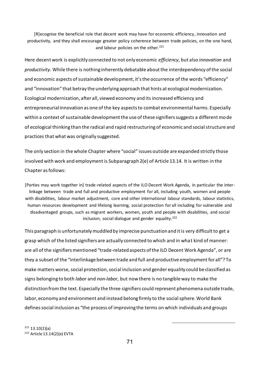[R]ecognise the beneficial role that decent work may have for economic efficiency, innovation and productivity, and they shall encourage greater policy coherence between trade policies, on the one hand, and labour policies on the other.<sup>221</sup>

Here decent work is explicitly connected to not only economic *efficiency*, but also *innovation* and *productivity*. While there is nothing inherently debatable about the interdependency of the social and economic aspects of sustainable development, it's the occurrence of the words "efficiency" and "innovation" that betray the underlying approach that hints at ecological modernization. Ecological modernization, after all, viewed economy and its increased efficiency and entrepreneurial innovation as one of the key aspects to combat environmental harms. Especially within a context of sustainable development the use of these signifiers suggests a different mode of ecological thinking than the radical and rapid restructuring of economic and social structure and practices that what was originally suggested.

The only section in the whole Chapter where "social" issues outside are expanded strictly those involved with work and employment is Subparagraph 2(e) of Article 13.14. It is written in the Chapter as follows:

[Parties may work together in] trade-related aspects of the ILO Decent Work Agenda, in particular the interlinkage between trade and full and productive employment for all, including youth, women and people with disabilities, labour market adjustment, core and other international labour standards, labour statistics, human resources development and lifelong learning, social protection for all including for vulnerable and disadvantaged groups, such as migrant workers, women, youth and people with disabilities, and social inclusion, social dialogue and gender equality. 222

This paragraph is unfortunately muddled by imprecise punctuation and it is very difficult to get a grasp which of the listed signifiers are actually connected to which and in what kind of manner: are all of the signifiers mentioned "trade-related aspects of the ILO Decent Work Agenda", or are they a subset of the "interlinkage between trade and full and productive employment for all"? To make matters worse, social protection, social inclusion and gender equality could be classified as signs belonging to both *labor* and *non-labor*, but now there is no tangible way to make the distinction from the text. Especially the three signifiers could represent phenomena outside trade, labor, economy and environment and instead belong firmly to the social sphere. World Bank defines social inclusion as "the process of improving the terms on which individuals and groups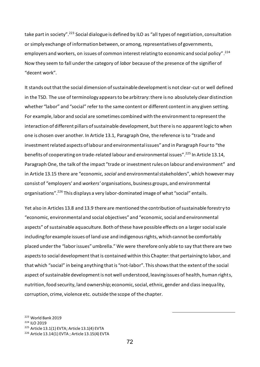take part in society".<sup>223</sup> Social dialogue is defined by ILO as "all types of negotiation, consultation or simply exchange of information between, or among, representatives of governments, employers and workers, on issues of common interest relating to economic and social policy".<sup>224</sup> Now they seem to fall under the category of *labor* because of the presence of the signifier of "decent work".

It stands out that the social dimension of sustainable development is not clear-cut or well defined in the TSD. The use of terminology appears to be arbitrary: there is no absolutely clear distinction whether "labor" and "social" refer to the same content or different content in any given setting. For example, labor and social are sometimes combined with the environment to represent the interaction of different pillars of sustainable development, but there is no apparent logic to when one is chosen over another. In Article 13.1, Paragraph One, the reference is to "trade and investment related aspects of labour and environmental issues" and in Paragraph Four to "the benefits of cooperating on trade-related labour and environmental issues".<sup>225</sup> In Article 13.14, Paragraph One, the talk of the impact "trade or investment rules on labour and environment" and in Article 13.15 there are "economic, *social* and environmental stakeholders", which however may consist of "employers' and *workers'* organisations, business groups, and environmental organisations".<sup>226</sup> This displays a very labor-dominated image of what "social" entails.

Yet also in Articles 13.8 and 13.9 there are mentioned the contribution of sustainable forestry to "economic, environmental and social objectives" and "economic, social and environmental aspects" of sustainable aquaculture. Both of these have possible effects on a larger social scale including for example issues of land use and indigenous rights, which cannot be comfortably placed under the "labor issues" umbrella." We were therefore only able to say that there are two aspects to social development that is contained within this Chapter: that pertaining to labor, and that which "social" in being anything that is "not-labor". This shows that the extent of the social aspect of sustainable development is not well understood, leaving issues of health, human rights, nutrition, food security, land ownership; economic, social, ethnic, gender and class inequality, corruption, crime, violence etc. outside the scope of the chapter.

 World Bank 2019 <sup>224</sup> ILO 2019 Article 13.1(1) EVTA; Article 13.1(4) EVTA Article 13.14(1) EVTA ; Article 13.15(4) EVTA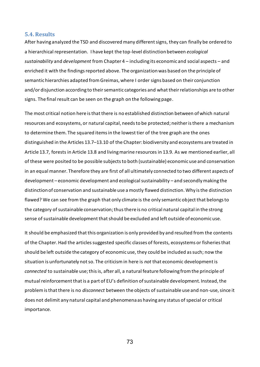## **5.4. Results**

After having analyzed the TSD and discovered many different signs, they can finally be ordered to a hierarchical representation. I have kept the top-level distinction between *ecological sustainability* and *development* from Chapter 4 – including its economic and social aspects – and enriched it with the findings reported above. The organization was based on the principle of semantic hierarchies adapted from Greimas, where I order signs based on their conjunction and/or disjunction according to their semantic categories and what their relationships are to other signs. The final result can be seen on the graph on the following page.

The most critical notion here is that there is no established distinction between of which natural resources and ecosystems, or natural capital, needs to be protected; neither is there a mechanism to determine them. The squared items in the lowest tier of the tree graph are the ones distinguished in the Articles 13.7–13.10 of the Chapter: biodiversity and ecosystems are treated in Article 13.7, forests in Article 13.8 and living marine resources in 13.9. As we mentioned earlier, all of these were posited to be possible subjects to both (sustainable) economic use and conservation in an equal manner. Therefore they are first of all ultimately connected to two different aspects of development – economic development and ecological sustainability – and secondly making the distinction of conservation and sustainable use a mostly flawed distinction. Why is the distinction flawed? We can see from the graph that only climate is the only semantic object that belongs to the category of sustainable conservation; thus there is no critical natural capital in the strong sense of sustainable development that should be excluded and left outside of economic use.

It should be emphasized that this organization is only provided by and resulted from the contents of the Chapter. Had the articles suggested specific classes of forests, ecosystems or fisheries that should be left outside the category of economic use, they could be included as such; now the situation is unfortunately not so. The criticism in here is *not* that economic development is *connected* to sustainable use; this is, after all, a natural feature following from the principle of mutual reinforcement that is a part of EU's definition of sustainable development. Instead, the problem is that there is no *disconnect* between the objects of sustainable use and non-use, since it does not delimit any natural capital and phenomena as having any status of special or critical importance.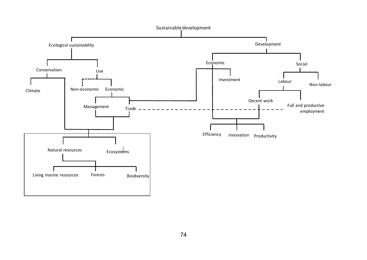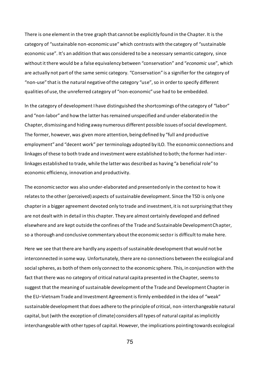There is one element in the tree graph that cannot be explicitly found in the Chapter. It is the category of "sustainable non-economic use" which contrasts with the category of "sustainable economic use". It's an addition that was considered to be a necessary semantic category, since without it there would be a false equivalency between "conservation" and "*economic* use", which are actually not part of the same semic category. "Conservation" is a signifier for the category of "non-use" that is the natural negative of the category "use", so in order to specify different qualities of use, the unreferred category of "non-economic" use had to be embedded.

In the category of development I have distinguished the shortcomings of the category of "labor" and "non-labor" and how the latter has remained unspecified and under-elaborated in the Chapter, dismissing and hiding away numerous different possible issues of social development. The former, however, was given more attention, being defined by "full and productive employment" and "decent work" per terminology adopted by ILO. The economic connections and linkages of these to both trade and investment were established to both; the former had interlinkages established to trade, while the latter was described as having "a beneficial role" to economic efficiency, innovation and productivity.

The economic sector was also under-elaborated and presented only in the context to how it relates to the other (perceived) aspects of sustainable development. Since the TSD is only one chapter in a bigger agreement devoted only to trade and investment, it is not surprising that they are not dealt with in detail in this chapter. They are almost certainly developed and defined elsewhere and are kept outside the confines of the Trade and Sustainable Development Chapter, so a thorough and conclusive commentary about the economic sector is difficult to make here.

Here we see that there are hardly any aspects of sustainable development that would not be interconnected in some way. Unfortunately, there are no connections between the ecological and social spheres, as both of them only connect to the economic sphere. This, in conjunction with the fact that there was no category of critical natural capita presented in the Chapter, seems to suggest that the meaning of sustainable development of the Trade and Development Chapter in the EU–Vietnam Trade and Investment Agreement is firmly embedded in the idea of "weak" sustainable development that does adhere to the principle of critical, non-interchangeable natural capital, but (with the exception of climate) considers all types of natural capital as implicitly interchangeable with other types of capital. However, the implications pointing towards ecological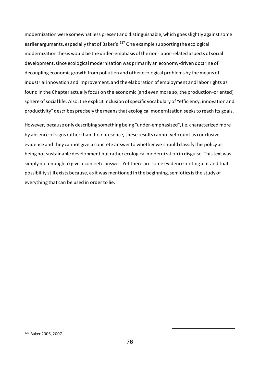modernization were somewhat less present and distinguishable, which goes slightly against some earlier arguments, especially that of Baker's.<sup>227</sup> One example supporting the ecological modernization thesis would be the under-emphasis of the non-labor-related aspects of social development, since ecological modernization was primarily an economy-driven doctrine of decoupling economic growth from pollution and other ecological problems by the means of industrial innovation and improvement, and the elaboration of employment and labor rights as found in the Chapter actually focus on the economic (and even more so, the production-oriented) sphere of social life. Also, the explicit inclusion of specific vocabulary of "efficiency, innovation and productivity" describes precisely the means that ecological modernization seeks to reach its goals.

However, because only describing something being "under-emphasized", i.e. characterized more by absence of signs rather than their presence, these results cannot yet count as conclusive evidence and they cannot give a concrete answer to whether we should classify this policy as being not sustainable development but rather ecological modernization in disguise. This text was simply not enough to give a concrete answer. Yet there are some evidence hinting at it and that possibility still exists because, as it was mentioned in the beginning, semiotics is the study of everything that can be used in order to lie.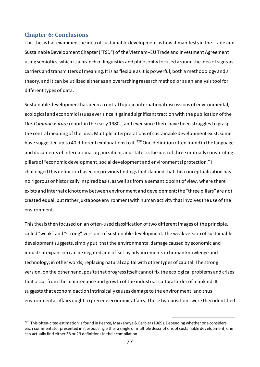## **Chapter 6: Conclusions**

This thesis has examined the idea of sustainable development as how it manifests in the Trade and Sustainable Development Chapter ("TSD") of the Vietnam–EU Trade and Investment Agreement using semiotics, which is a branch of linguistics and philosophy focused around the idea of signs as carriers and transmitters of meaning. It is as flexible as it is powerful, both a methodology and a theory, and it can be utilized either as an overarching research method or as an analysis tool for different types of data.

Sustainable development has been a central topic in international discussions of environmental, ecological and economic issues ever since it gained significant traction with the publication of the *Our Common Future* report in the early 1980s, and ever since there have been struggles to grasp the central meaning of the idea. Multiple interpretations of sustainable development exist; some have suggested up to 40 different explanations to it.<sup>228</sup> One definition often found in the language and documents of international organizations and states is the idea of three mutually constituting pillars of "economic development, social development and environmental protection." I challenged this definition based on previous findings that claimed that this conceptualization has no rigorous or historically inspired basis, as well as from a semantic point of view, where there exists and internal dichotomy between environment and development; the "three pillars" are not created equal, but rather juxtapose environment with human activity that involves the use of the environment.

This thesis then focused on an often-used classification of two different images of the principle, called "weak" and "strong" versions of sustainable development. The weak version of sustainable development suggests, simply put, that the environmental damage caused by economic and industrial expansion can be negated and offset by advancements in human knowledge and technology; in other words, replacing natural capital with other types of capital. The strong version, on the other hand, posits that progress itself cannot fix the ecological problems and crises that occur from the maintenance and growth of the industrial-cultural order of mankind. It suggests that economic action intrinsically causes damage to the environment, and thus environmental affairs ought to precede economic affairs. These two positions were then identified

<sup>&</sup>lt;sup>228</sup> This often-cited estimation is found in Pearce, Markandya & Barbier (1989). Depending whether one considers each commentator presented in it espousing either a single or multiple descriptions of sustainable development, one can actually find either 38 or 23 definitions in their compilation.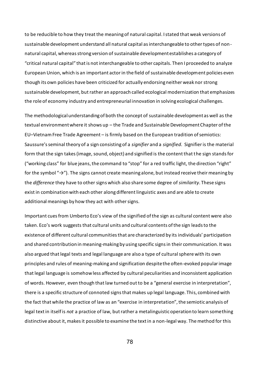to be reducible to how they treat the meaning of natural capital. I stated that weak versions of sustainable development understand all natural capital as interchangeable to other types of nonnatural capital, whereas strong version of sustainable development establishes a category of "critical natural capital" that is not interchangeable to other capitals. Then I proceeded to analyze European Union, which is an important actor in the field of sustainable development policies even though its own policies have been criticized for actually endorsing neither weak nor strong sustainable development, but rather an approach called ecological modernization that emphasizes the role of economy industry and entrepreneurial innovation in solving ecological challenges.

The methodological understanding of both the concept of sustainable development as well as the textual environment where it shows up – the Trade and Sustainable Development Chapter of the EU–Vietnam Free Trade Agreement – is firmly based on the European tradition of semiotics: Saussure's seminal theory of a sign consisting of a *signifier* and a *signified*. Signifier is the material form that the sign takes (image, sound, object) and signified is the content that the sign stands for ("working class" for blue jeans, the command to "stop" for a red traffic light, the direction "right" for the symbol "→"). The signs cannot create meaning alone, but instead receive their meaning by the *difference* they have to other signs which also share some degree of *similarity*. These signs exist in combination with each other along different linguistic axes and are able to create additional meanings by how they act with other signs.

Important cues from Umberto Eco's view of the signified of the sign as cultural content were also taken. Eco's work suggests that cultural units and cultural contents of the sign leads to the existence of different cultural communities that are characterized by its individuals' participation and shared contribution in meaning-making by using specific signs in their communication. It was also argued that legal texts and legal language are also a type of cultural sphere with its own principles and rules of meaning-making and signification despite the often-evoked popular image that legal language is somehow less affected by cultural peculiarities and inconsistent application of words. However, even though that law turned out to be a "general exercise in interpretation", there is a specific structure of connoted signs that makes up legal language. This, combined with the fact that while the practice of law as an "exercise in interpretation", the semiotic analysis of legal text in itself is *not* a practice of law, but rather a metalinguistic operation to learn something distinctive about it, makes it possible to examine the text in a non-legal way. The method for this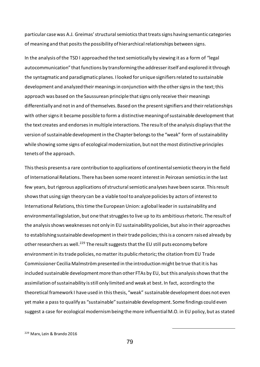particular case was A.J. Greimas' structural semiotics that treats signs having semantic categories of meaning and that posits the possibility of hierarchical relationships between signs.

In the analysis of the TSD I approached the text semiotically by viewing it as a form of "legal autocommunication" that functions by transforming the addresser itself and explored it through the syntagmatic and paradigmatic planes. I looked for unique signifiers related to sustainable development and analyzed their meanings in conjunction with the other signs in the text; this approach was based on the Saussurean principle that signs only receive their meanings differentially and not in and of themselves. Based on the present signifiers and their relationships with other signs it became possible to form a distinctive meaning of sustainable development that the text creates and endorses in multiple interactions. The result of the analysis displays that the version of sustainable development in the Chapter belongs to the "weak" form of sustainability while showing some signs of ecological modernization, but not the most distinctive principles tenets of the approach.

This thesis presents a rare contribution to applications of continental semiotic theory in the field of International Relations. There has been some recent interest in Peircean semiotics in the last few years, but rigorous applications of structural semiotic analyses have been scarce. This result shows that using sign theory can be a viable tool to analyze policies by actors of interest to International Relations, this time the European Union: a global leader in sustainability and environmental legislation, but one that struggles to live up to its ambitious rhetoric. The result of the analysis shows weaknesses not only in EU sustainability policies, but also in their approaches to establishing sustainable development in their trade policies; this is a concern raised already by other researchers as well.<sup>229</sup> The result suggests that the EU still puts economy before environment in its trade policies, no matter its public rhetoric; the citation from EU Trade Commissioner Cecilia Malmström presented in the introduction might be true that it is has included sustainable development more than other FTAs by EU, but this analysis shows that the assimilation of sustainability is still only limited and weak at best. In fact, according to the theoretical framework I have used in this thesis, "weak" sustainable development does not even yet make a pass to qualify as "sustainable" sustainable development. Some findings could even suggest a case for ecological modernism being the more influential M.O. in EU policy, but as stated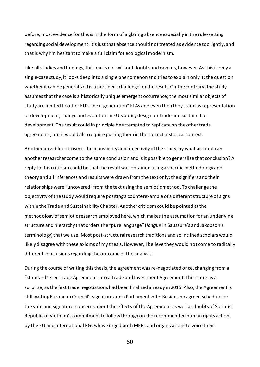before, most evidence for this is in the form of a glaring absence especially in the rule-setting regarding social development; it's just that absence should not treated as evidence too lightly, and that is why I'm hesitant to make a full claim for ecological modernism.

Like all studies and findings, this one is not without doubts and caveats, however. As this is only a single-case study, it looks deep into a single phenomenon and tries to explain only it; the question whether it can be generalized is a pertinent challenge for the result. On the contrary, the study assumes that the case is a historically unique emergent occurrence; the most similar objects of study are limited to other EU's "next generation" FTAs and even then they stand as representation of development, change and evolution in EU's policy design for trade and sustainable development. The result could in principle be attempted to replicate on the other trade agreements, but it would also require putting them in the correct historical context.

Another possible criticism is the plausibility and objectivity of the study; by what account can another researcher come to the same conclusion and is it possible to generalize that conclusion? A reply to this criticism could be that the result was obtained using a specific methodology and theory and all inferences and results were drawn from the text only: the signifiers and their relationships were "uncovered" from the text using the semiotic method. To challenge the objectivity of the study would require positing a counterexample of a different structure of signs within the Trade and Sustainability Chapter. Another criticism could be pointed at the methodology of semiotic research employed here, which makes the assumption for an underlying structure and hierarchy that orders the "pure language" (*langue* in Saussure's and Jakobson's terminology) that we use. Most post-structural research traditions and so inclined scholars would likely disagree with these axioms of my thesis. However, I believe they would not come to radically different conclusions regarding the outcome of the analysis.

During the course of writing this thesis, the agreement was re-negotiated once, changing from a "standard" Free Trade Agreement into a Trade and Investment Agreement. This came as a surprise, as the first trade negotiations had been finalized already in 2015. Also, the Agreement is still waiting European Council's signature and a Parliament vote. Besides no agreed schedule for the vote and signature, concerns about the effects of the Agreement as well as doubts of Socialist Republic of Vietnam's commitment to follow through on the recommended human rights actions by the EU and international NGOs have urged both MEPs and organizations to voice their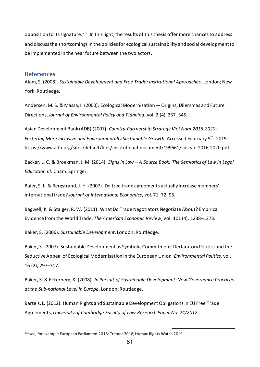opposition to its signature. <sup>230</sup> In this light, the results of this thesis offer more chances to address and discuss the shortcomings in the policies for ecological sustainability and social development to be implemented in the near future between the two actors.

## **References**

Alam, S. (2008). *Sustainable Development and Free Trade: Institutional Approaches*. London; New York: Routledge.

Andersen, M. S. & Massa, I. (2000). Ecological Modernization — Origins, Dilemmas and Future Directions, *Journal of Environmental Policy and Planning*, vol. 2 (4), 337–345.

Asian Development Bank (ADB) (2007). *Country Partnership Strategy Viet Nam 2016-2020:*  Fostering More Inclusive and Environmentally Sustainable Growth. Accessed February 5<sup>th</sup>, 2019: https://www.adb.org/sites/default/files/institutional-document/199661/cps-vie-2016-2020.pdf

Backer, L. C. & Broekman, J. M. (2014). *Signs in Law – A Source Book: The Semiotics of Law in Legal Education III*. Cham: Springer.

Baier, S. L. & Bergstrand, J. H. (2007). Do free trade agreements actually increase members' international trade? *Journal of International Economics*, vol. 71, 72–95.

Bagwell, K. & Staiger, R. W. (2011). What Do Trade Negotiators Negotiate About? Empirical Evidence from the World Trade*. The American Economic Review*, Vol. 101 (4), 1238–1273.

Baker, S. (2006). *Sustainable Development*. London: Routledge.

Baker, S. (2007). Sustainable Development as Symbolic Commitment: Declaratory Politics and the Seductive Appeal of Ecological Modernisation in the European Union, *Environmental Politics*, vol. 16 (2), 297–317.

Baker, S. & Eckerberg, K. (2008). *In Pursuit of Sustainable Development: New Governance Practices at the Sub-national Level in Europe*. London: Routledge.

Bartels, L. (2012). Human Rights and Sustainable Development Obligations in EU Free Trade Agreements, *University of Cambridge Faculty of Law Research Paper No. 24/2012.*

<sup>&</sup>lt;sup>230</sup>see, for example European Parliament 2018; Tremos 2018; Human Rights Watch 2019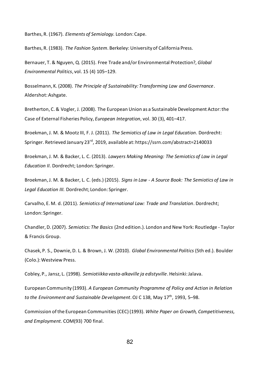Barthes, R. (1967). *Elements of Semiology.* London: Cape.

Barthes, R. (1983). *The Fashion System*. Berkeley: University of California Press.

Bernauer, T. & Nguyen, Q. (2015). Free Trade and/or Environmental Protection?, *Global Environmental Politics*, vol. 15 (4) 105–129.

Bosselmann, K. (2008). *The Principle of Sustainability: Transforming Law and Governance*. Aldershot: Ashgate.

Bretherton, C. & Vogler, J. (2008). The European Union as a Sustainable Development Actor: the Case of External Fisheries Policy, *European Integration*, vol. 30 (3), 401–417.

Broekman, J. M. & Mootz III, F. J. (2011). *The Semiotics of Law in Legal Education*. Dordrecht: Springer. Retrieved January 23<sup>rd</sup>, 2019, available at: https://ssrn.com/abstract=2140033

Broekman, J. M. & Backer, L. C. (2013). *Lawyers Making Meaning: The Semiotics of Law in Legal Education II*. Dordrecht; London: Springer.

Broekman, J. M. & Backer, L. C. (eds.) (2015). *Signs in Law - A Source Book: The Semiotics of Law in Legal Education III.* Dordrecht; London: Springer.

Carvalho, E. M. d. (2011). *Semiotics of International Law: Trade and Translation*. Dordrecht; London: Springer.

Chandler, D. (2007). *Semiotics: The Basics* (2nd edition.). London and New York: Routledge - Taylor & Francis Group.

Chasek, P. S., Downie, D. L. & Brown, J. W. (2010). *Global Environmental Politics* (5th ed.). Boulder (Colo.): Westview Press.

Cobley, P., Jansz, L. (1998). *Semiotiikka vasta-alkaville ja edistyville*. Helsinki: Jalava.

European Community (1993). *A European Community Programme of Policy and Action in Relation*  to the Environment and Sustainable Development. OJ C 138, May 17<sup>th</sup>, 1993, 5–98.

Commission of the European Communities (CEC) (1993). *White Paper on Growth, Competitiveness, and Employment.* COM(93) 700 final.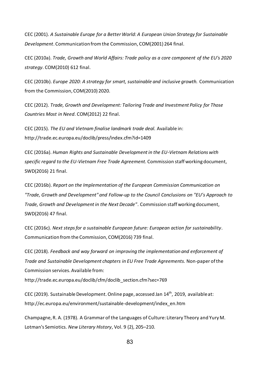CEC (2001). *A Sustainable Europe for a Better World: A European Union Strategy for Sustainable Development*. Communication from the Commission, COM(2001) 264 final.

CEC (2010a). *Trade, Growth and World Affairs: Trade policy as a core component of the EU's 2020 strategy*. COM(2010) 612 final.

CEC (2010b). *Europe 2020: A strategy for smart, sustainable and inclusive growth.* Communication from the Commission, COM(2010) 2020.

CEC (2012). *Trade, Growth and Development: Tailoring Trade and Investment Policy for Those Countries Most in Need*. COM(2012) 22 final.

CEC (2015). *The EU and Vietnam finalise landmark trade deal.* Available in: http://trade.ec.europa.eu/doclib/press/index.cfm?id=1409

CEC (2016a). *Human Rights and Sustainable Development in the EU-Vietnam Relations with specific regard to the EU-Vietnam Free Trade Agreement.* Commission staff working document, SWD(2016) 21 final.

CEC (2016b). *Report on the Implementation of the European Commission Communication on "Trade, Growth and Development" and Follow-up to the Council Conclusions on "EU's Approach to Trade, Growth and Development in the Next Decade"*. Commission staff working document, SWD(2016) 47 final.

CEC (2016c). *Next steps for a sustainable European future: European action for sustainability*. Communication from the Commission, COM(2016) 739 final.

CEC (2018). *Feedback and way forward on improving the implementation and enforcement of Trade and Sustainable Development chapters in EU Free Trade Agreements.* Non-paper of the Commission services. Available from:

http://trade.ec.europa.eu/doclib/cfm/doclib\_section.cfm?sec=769

CEC (2019). Sustainable Development. Online page, accessed Jan 14<sup>th</sup>, 2019, available at: http://ec.europa.eu/environment/sustainable-development/index\_en.htm

Champagne, R. A. (1978). A Grammar of the Languages of Culture: Literary Theory and Yury M. Lotman's Semiotics. *New Literary History*, Vol. 9 (2), 205–210.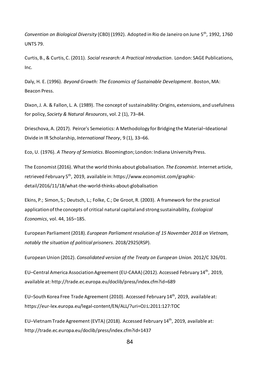Convention on Biological Diversity (CBD) (1992). Adopted in Rio de Janeiro on June 5<sup>th</sup>, 1992, 1760 UNTS 79.

Curtis, B., & Curtis, C. (2011). *Social research: A Practical Introduction*. London: SAGE Publications, Inc.

Daly, H. E. (1996). *Beyond Growth: The Economics of Sustainable Development*. Boston, MA: Beacon Press.

Dixon, J. A. & Fallon, L. A. (1989). The concept of sustainability: Origins, extensions, and usefulness for policy, *Society & Natural Resources*, vol. 2 (1), 73–84.

Drieschova, A. (2017). Peirce's Semeiotics: A Methodology for Bridging the Material–Ideational Divide in IR Scholarship, *International Theory*, 9 (1), 33–66.

Eco, U. (1976). *A Theory of Semiotics*. Bloomington; London: Indiana University Press.

The Economist (2016). What the world thinks about globalisation. *The Economist*. Internet article, retrieved February 5<sup>th</sup>, 2019, available in: https://www.economist.com/graphicdetail/2016/11/18/what-the-world-thinks-about-globalisation

Ekins, P.; Simon, S.; Deutsch, L.; Folke, C.; De Groot, R. (2003). A framework for the practical application of the concepts of critical natural capital and strong sustainability, *Ecological Economics*, vol. 44, 165–185.

European Parliament (2018). *European Parliament resolution of 15 November 2018 on Vietnam, notably the situation of political prisoners.* 2018/2925(RSP).

European Union (2012). *Consolidated version of the Treaty on European Union.* 2012/C 326/01.

EU-Central America Association Agreement (EU-CAAA) (2012). Accessed February 14<sup>th</sup>, 2019, available at: http://trade.ec.europa.eu/doclib/press/index.cfm?id=689

EU-South Korea Free Trade Agreement (2010). Accessed February 14<sup>th</sup>, 2019, available at: https://eur-lex.europa.eu/legal-content/EN/ALL/?uri=OJ:L:2011:127:TOC

EU-Vietnam Trade Agreement (EVTA) (2018). Accessed February 14<sup>th</sup>, 2019, available at: http://trade.ec.europa.eu/doclib/press/index.cfm?id=1437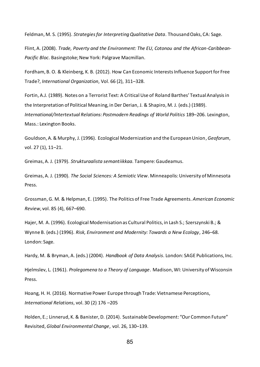Feldman, M. S. (1995). *Strategies for Interpreting Qualitative Data*. Thousand Oaks, CA: Sage.

Flint, A. (2008). *Trade, Poverty and the Environment: The EU, Cotonou and the African-Caribbean-Pacific Bloc*. Basingstoke; New York: Palgrave Macmillan.

Fordham, B. O. & Kleinberg, K. B. (2012). How Can Economic Interests Influence Support for Free Trade?, *International Organization*, Vol. 66 (2), 311–328.

Fortin, A.J. (1989). Notes on a Terrorist Text: A Critical Use of Roland Barthes' Textual Analysis in the Interpretation of Political Meaning, in Der Derian, J. & Shapiro, M. J. (eds.) (1989). *International/Intertextual Relations: Postmodern Readings of World Politics* 189–206. Lexington, Mass.: Lexington Books.

Gouldson, A. & Murphy, J. (1996). Ecological Modernization and the European Union, *Geoforum*, vol. 27 (1), 11–21.

Greimas, A. J. (1979). *Strukturaalista semantiikkaa*. Tampere: Gaudeamus.

Greimas, A. J. (1990). *The Social Sciences: A Semiotic View*. Minneapolis: University of Minnesota Press.

Grossman, G. M. & Helpman, E. (1995). The Politics of Free Trade Agreements. *American Economic Review*, vol. 85 (4), 667–690.

Hajer, M. A. (1996). Ecological Modernisation as Cultural Politics, in Lash S.; Szerszynski B.; & Wynne B. (eds.) (1996). *Risk, Environment and Modernity: Towards a New Ecology*, 246–68. London: Sage.

Hardy, M. & Bryman, A. (eds.) (2004). *Handbook of Data Analysis*. London: SAGE Publications, Inc.

Hjelmslev, L. (1961). *Prolegomena to a Theory of Language*. Madison, WI: University of Wisconsin Press.

Hoang, H. H. (2016). Normative Power Europe through Trade: Vietnamese Perceptions, *International Relations*, vol. 30 (2) 176 –205

Holden, E.; Linnerud, K. & Banister, D. (2014). Sustainable Development: "Our Common Future" Revisited, *Global Environmental Change*, vol. 26, 130–139.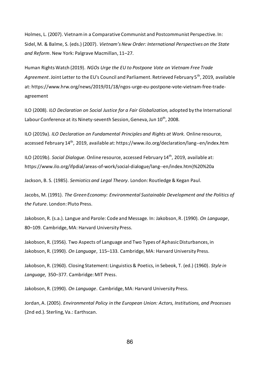Holmes, L. (2007). Vietnam in a Comparative Communist and Postcommunist Perspective. In: Sidel, M. & Balme, S. (eds.) (2007). *Vietnam's New Order: International Perspectives on the State and Reform*. New York: Palgrave Macmillan, 11–27.

Human Rights Watch (2019). *NGOs Urge the EU to Postpone Vote on Vietnam Free Trade*  A*greement.* Joint Letter to the EU's Council and Parliament. Retrieved February 5<sup>th</sup>, 2019, available at: https://www.hrw.org/news/2019/01/18/ngos-urge-eu-postpone-vote-vietnam-free-tradeagreement

ILO (2008). *ILO Declaration on Social Justice for a Fair Globalization,* adopted by the International Labour Conference at its Ninety-seventh Session, Geneva, Jun 10<sup>th</sup>, 2008.

ILO (2019a). *ILO Declaration on Fundamental Principles and Rights at Work.* Online resource, accessed February 14<sup>th</sup>, 2019, available at: https://www.ilo.org/declaration/lang--en/index.htm

ILO (2019b). Social Dialogue. Online resource, accessed February 14<sup>th</sup>, 2019, available at: https://www.ilo.org/ifpdial/areas-of-work/social-dialogue/lang--en/index.htm)%20%20a

Jackson, B. S. (1985). *Semiotics and Legal Theory*. London: Routledge & Kegan Paul.

Jacobs, M. (1991). *The Green Economy: Environmental Sustainable Development and the Politics of the Future*. London: Pluto Press.

Jakobson, R. (s.a.). Langue and Parole: Code and Message. In: Jakobson, R. (1990). *On Language*, 80–109. Cambridge, MA: Harvard University Press.

Jakobson, R. (1956). Two Aspects of Language and Two Types of Aphasic Disturbances, in Jakobson, R. (1990). *On Language*, 115–133. Cambridge, MA: Harvard University Press.

Jakobson, R. (1960). Closing Statement: Linguistics & Poetics, in Sebeok, T. (ed.) (1960). *Style in Language,* 350–377. Cambridge: MIT Press.

Jakobson, R. (1990). *On Language*. Cambridge, MA: Harvard University Press.

Jordan, A. (2005). *Environmental Policy in the European Union: Actors, Institutions, and Processes*  (2nd ed.). Sterling, Va.: Earthscan.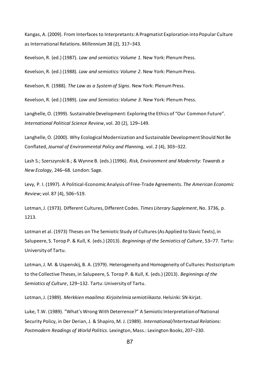Kangas, A. (2009). From Interfaces to Interpretants: A Pragmatist Exploration into Popular Culture as International Relations. *Millennium* 38 (2), 317–343.

Kevelson, R. (ed.) (1987). *Law and semiotics: Volume 1.* New York: Plenum Press.

Kevelson, R. (ed.) (1988). *Law and semiotics: Volume 2*. New York: Plenum Press.

Kevelson, R. (1988). *The Law as a System of Signs*. New York: Plenum Press.

Kevelson, R. (ed.) (1989). *Law and Semiotics: Volume 3*. New York: Plenum Press.

Langhelle, O. (1999). Sustainable Development: Exploring the Ethics of "Our Common Future". *International Political Science Review*, vol. 20 (2), 129–149.

Langhelle, O. (2000). Why Ecological Modernization and Sustainable Development Should Not Be Conflated, *Journal of Environmental Policy and Planning*, vol. 2 (4), 303–322.

Lash S.; Szerszynski B.; & Wynne B. (eds.) (1996). *Risk, Environment and Modernity: Towards a New Ecology*, 246–68. London: Sage.

Levy, P. I. (1997). A Political-Economic Analysis of Free-Trade Agreements. *The American Economic Review*; vol. 87 (4), 506–519.

Lotman, J. (1973). Different Cultures, Different Codes. *Times Literary Supplement*, No. 3736, p. 1213.

Lotman et al. (1973) Theses on The Semiotic Study of Cultures (As Applied to Slavic Texts), in Salupeere, S. Torop P. & Kull, K. (eds.) (2013). *Beginnings of the Semiotics of Culture*, 53–77. Tartu: University of Tartu.

Lotman, J. M. & Uspenskij, B. A. (1979). Heterogeneity and Homogeneity of Cultures: Postscriptum to the Collective Theses, in Salupeere, S. Torop P. & Kull, K. (eds.) (2013). *Beginnings of the Semiotics of Culture*, 129–132. Tartu: University of Tartu.

Lotman, J. (1989). *Merkkien maailma: Kirjoitelmia semiotiikasta*. Helsinki: SN-kirjat.

Luke, T.W. (1989). "What's Wrong With Deterrence?" A Semiotic Interpretation of National Security Policy, in Der Derian, J. & Shapiro, M. J. (1989). *International/Intertextual Relations: Postmodern Readings of World Politics*. Lexington, Mass.: Lexington Books, 207–230.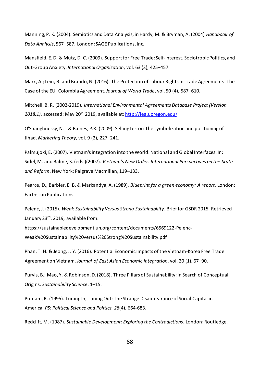Manning, P. K. (2004). Semiotics and Data Analysis, in Hardy, M. & Bryman, A. (2004) *Handbook of Data Analysis*, 567–587. London: SAGE Publications, Inc.

Mansfield, E. D. & Mutz, D. C. (2009). Support for Free Trade: Self-Interest, Sociotropic Politics, and Out-Group Anxiety. *International Organization*, vol. 63 (3), 425–457.

Marx, A.; Lein, B. and Brando, N. (2016). The Protection of Labour Rights in Trade Agreements: The Case of the EU–Colombia Agreement. *Journal of World Trade*, vol. 50 (4), 587–610.

Mitchell, B. R. (2002-2019). *International Environmental Agreements Database Project (Version 2018.1)*, accessed: May 20th 2019, available at: <http://iea.uoregon.edu/>

O'Shaughnessy, N.J. & Baines, P.R. (2009). Selling terror: The symbolization and positioning of Jihad. *Marketing Theory*, vol. 9 (2), 227–241.

Palmujoki, E. (2007). Vietnam's integration into the World: National and Global Interfaces. In: Sidel, M. and Balme, S. (eds.)(2007). *Vietnam's New Order: International Perspectives on the State and Reform*. New York: Palgrave Macmillan, 119–133.

Pearce, D., Barbier, E. B. & Markandya, A. (1989). *Blueprint for a green economy: A report*. London: Earthscan Publications.

Pelenc, J. (2015). *Weak Sustainability Versus Strong Sustainability*. Brief for GSDR 2015. Retrieved January 23<sup>rd</sup>, 2019, available from: https://sustainabledevelopment.un.org/content/documents/6569122-Pelenc-Weak%20Sustainability%20versus%20Strong%20Sustainability.pdf

Phan, T. H. & Jeong, J. Y. (2016). Potential Economic Impacts of the Vietnam-Korea Free Trade Agreement on Vietnam. *Journal of East Asian Economic Integration*, vol. 20 (1), 67–90.

Purvis, B.; Mao, Y. & Robinson, D. (2018). Three Pillars of Sustainability: In Search of Conceptual Origins. *Sustainability Science*, 1–15.

Putnam, R. (1995). Tuning In, Tuning Out: The Strange Disappearance of Social Capital in America. *PS: Political Science and Politics, 28*(4), 664-683.

Redclift, M. (1987). *Sustainable Development: Exploring the Contradictions*. London: Routledge.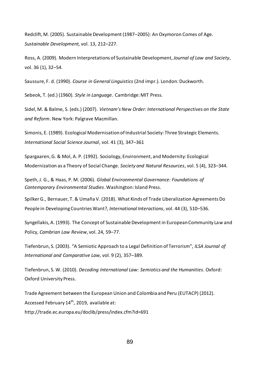Redclift, M. (2005). Sustainable Development (1987–2005): An Oxymoron Comes of Age. *Sustainable Development,* vol. 13, 212–227.

Ross, A. (2009). Modern Interpretations of Sustainable Development, *Journal of Law and Society*, vol. 36 (1), 32–54.

Saussure, F. d. (1990). *Course in General Linguistics* (2nd impr.). London: Duckworth.

Sebeok, T. (ed.) (1960). *Style in Language*. Cambridge: MIT Press.

Sidel, M. & Balme, S. (eds.) (2007). *Vietnam's New Order: International Perspectives on the State and Reform*. New York: Palgrave Macmillan.

Simonis, E. (1989). Ecological Modernisation of Industrial Society: Three Strategic Elements. *International Social Science Journal*, vol. 41 (3), 347–361

Spargaaren, G. & Mol, A. P. (1992). Sociology, Environment, and Modernity: Ecological Modernization as a Theory of Social Change. *Society and Natural Resources*, vol. 5 (4), 323–344.

Speth, J. G., & Haas, P. M. (2006). *Global Environmental Governance: Foundations of Contemporary Environmental Studies*. Washington: Island Press.

Spilker G., Bernauer, T. & Umaña V. (2018). What Kinds of Trade Liberalization Agreements Do People in Developing Countries Want?, *International Interactions*, vol. 44 (3), 510–536.

Syngellakis, A. (1993). The Concept of Sustainable Development in European Community Law and Policy, *Cambrian Law Review*, vol. 24, 59–77.

Tiefenbrun, S. (2003). "A Semiotic Approach to a Legal Definition of Terrorism", *ILSA Journal of International and Comparative Law*, vol. 9 (2), 357–389.

Tiefenbrun, S. W. (2010). *Decoding International Law: Semiotics and the Humanities*. Oxford: Oxford University Press.

Trade Agreement between the European Union and Colombia and Peru (EUTACP) (2012). Accessed February 14<sup>th</sup>, 2019, available at: http://trade.ec.europa.eu/doclib/press/index.cfm?id=691